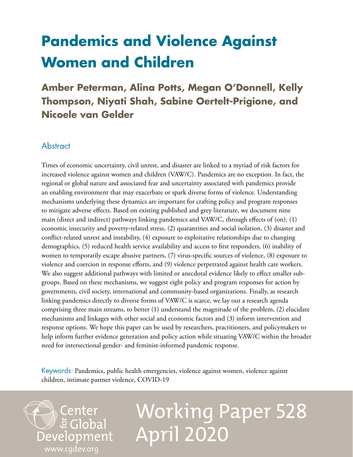## **Pandemics and Violence Against Women and Children**

**Amber Peterman, Alina Potts, Megan O'Donnell, Kelly Thompson, Niyati Shah, Sabine Oertelt-Prigione, and Nicoele van Gelder**

## **Abstract**

[www.cgdev.org](http://www.cgdev.org)

Center

Development

**E** Global

Times of economic uncertainty, civil unrest, and disaster are linked to a myriad of risk factors for increased violence against women and children (VAW/C). Pandemics are no exception. In fact, the regional or global nature and associated fear and uncertainty associated with pandemics provide an enabling environment that may exacerbate or spark diverse forms of violence. Understanding mechanisms underlying these dynamics are important for crafting policy and program responses to mitigate adverse effects. Based on existing published and grey literature, we document nine main (direct and indirect) pathways linking pandemics and VAW/C, through effects of (on):  $(1)$ economic insecurity and poverty-related stress, (2) quarantines and social isolation, (3) disaster and conflict-related unrest and instability, (4) exposure to exploitative relationships due to changing demographics, (5) reduced health service availability and access to first responders, (6) inability of women to temporarily escape abusive partners, (7) virus-specific sources of violence, (8) exposure to violence and coercion in response efforts, and (9) violence perpetrated against health care workers. We also suggest additional pathways with limited or anecdotal evidence likely to effect smaller subgroups. Based on these mechanisms, we suggest eight policy and program responses for action by governments, civil society, international and community-based organizations. Finally, as research linking pandemics directly to diverse forms of VAW/C is scarce, we lay out a research agenda comprising three main streams, to better (1) understand the magnitude of the problem, (2) elucidate mechanisms and linkages with other social and economic factors and (3) inform intervention and response options. We hope this paper can be used by researchers, practitioners, and policymakers to help inform further evidence generation and policy action while situating VAW/C within the broader need for intersectional gender- and feminist-informed pandemic response.

Keywords: Pandemics, public health emergencies, violence against women, violence against children, intimate partner violence, COVID-19

# Working Paper 528 April 2020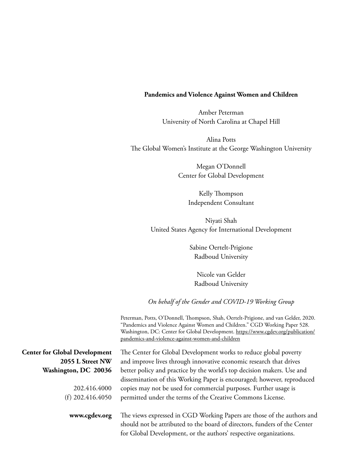#### **Pandemics and Violence Against Women and Children**

Amber Peterman University of North Carolina at Chapel Hill

Alina Potts The Global Women's Institute at the George Washington University

> Megan O'Donnell Center for Global Development

> > Kelly Thompson Independent Consultant

Niyati Shah United States Agency for International Development

> Sabine Oertelt-Prigione Radboud University

Nicole van Gelder Radboud University

*On behalf of the Gender and COVID-19 Working Group*

Peterman, Potts, O'Donnell, Thompson, Shah, Oertelt-Prigione, and van Gelder, 2020. "Pandemics and Violence Against Women and Children." CGD Working Paper 528. Washington, DC: Center for Global Development. [https://www.cgdev.org/publication/](https://www.cgdev.org/publication/pandemics-and-violence-against-women-and-children) [pandemics-and-violence-against-women-and-children](https://www.cgdev.org/publication/pandemics-and-violence-against-women-and-children)

|                                      | pandemics-and-violence-against-women-and-children                                                                                                                                                                        |
|--------------------------------------|--------------------------------------------------------------------------------------------------------------------------------------------------------------------------------------------------------------------------|
| <b>Center for Global Development</b> | The Center for Global Development works to reduce global poverty                                                                                                                                                         |
| 2055 L Street NW                     | and improve lives through innovative economic research that drives                                                                                                                                                       |
| Washington, DC 20036                 | better policy and practice by the world's top decision makers. Use and                                                                                                                                                   |
|                                      | dissemination of this Working Paper is encouraged; however, reproduced                                                                                                                                                   |
| 202.416.4000                         | copies may not be used for commercial purposes. Further usage is                                                                                                                                                         |
| (f) $202.416.4050$                   | permitted under the terms of the Creative Commons License.                                                                                                                                                               |
| www.cgdev.org                        | The views expressed in CGD Working Papers are those of the authors and<br>should not be attributed to the board of directors, funders of the Center<br>for Global Development, or the authors' respective organizations. |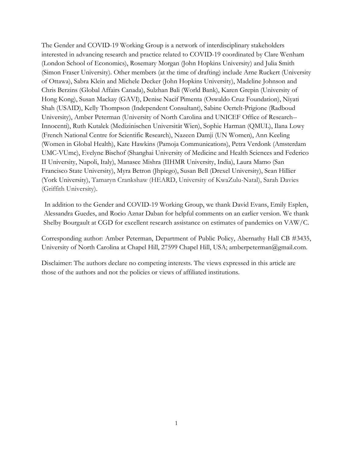The Gender and COVID-19 Working Group is a network of interdisciplinary stakeholders interested in advancing research and practice related to COVID-19 coordinated by Clare Wenham (London School of Economics), Rosemary Morgan (John Hopkins University) and Julia Smith (Simon Fraser University). Other members (at the time of drafting) include Arne Ruckert (University of Ottawa), Sabra Klein and Michele Decker (John Hopkins University), Madeline Johnson and Chris Berzins (Global Affairs Canada), Sulzhan Bali (World Bank), Karen Grepin (University of Hong Kong), Susan Mackay (GAVI), Denise Nacif Pimenta (Oswaldo Cruz Foundation), Niyati Shah (USAID), Kelly Thompson (Independent Consultant), Sabine Oertelt-Prigione (Radboud University), Amber Peterman (University of North Carolina and UNICEF Office of Research-- Innocenti), Ruth Kutalek (Medizinischen Universität Wien), Sophie Harman (QMUL), Ilana Lowy (French National Centre for Scientific Research), Nazeen Damji (UN Women), Ann Keeling (Women in Global Health), Kate Hawkins (Pamoja Communications), Petra Verdonk (Amsterdam UMC-VUmc), Evelyne Bischof (Shanghai University of Medicine and Health Sciences and Federico II University, Napoli, Italy), Manasee Mishra (IIHMR University, India), Laura Mamo (San Francisco State University), Myra Betron (Jhpiego), Susan Bell (Drexel University), Sean Hillier (York University), Tamaryn Crankshaw (HEARD, University of KwaZulu-Natal), Sarah Davies (Griffith University).

In addition to the Gender and COVID-19 Working Group, we thank David Evans, Emily Esplen, Alessandra Guedes, and Rocio Aznar Daban for helpful comments on an earlier version. We thank Shelby Bourgault at CGD for excellent research assistance on estimates of pandemics on VAW/C.

Corresponding author: Amber Peterman, Department of Public Pol[icy, Abernathy Hall CB #3435](mailto:amberpeterman@gmail.com), University of North Carolina at Chapel Hill, 27599 Chapel Hill, USA; amberpeterman@gmail.com.

Disclaimer: The authors declare no competing interests. The views expressed in this article are those of the authors and not the policies or views of affiliated institutions.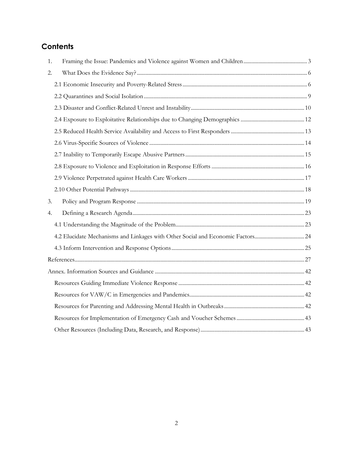## **Contents**

| 1. |                                                                                |  |
|----|--------------------------------------------------------------------------------|--|
| 2. |                                                                                |  |
|    |                                                                                |  |
|    |                                                                                |  |
|    |                                                                                |  |
|    |                                                                                |  |
|    |                                                                                |  |
|    |                                                                                |  |
|    |                                                                                |  |
|    |                                                                                |  |
|    |                                                                                |  |
|    |                                                                                |  |
| 3. |                                                                                |  |
| 4. |                                                                                |  |
|    |                                                                                |  |
|    | 4.2 Elucidate Mechanisms and Linkages with Other Social and Economic Factors24 |  |
|    |                                                                                |  |
|    |                                                                                |  |
|    |                                                                                |  |
|    |                                                                                |  |
|    |                                                                                |  |
|    |                                                                                |  |
|    |                                                                                |  |
|    |                                                                                |  |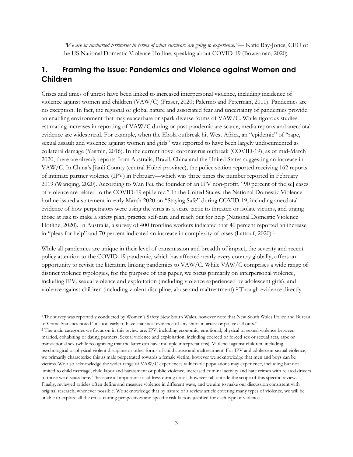*"We are in uncharted territories in terms of what survivors are going to experience."*— Katie Ray-Jones, CEO of the US National Domestic Violence Hotline, speaking about COVID-19 (Bowerman, 2020)

## <span id="page-4-0"></span>**1. Framing the Issue: Pandemics and Violence against Women and Children**

Crises and times of unrest have been linked to increased interpersonal violence, including incidence of violence against women and children (VAW/C) (Fraser, 2020; Palermo and Peterman, 2011). Pandemics are no exception. In fact, the regional or global nature and associated fear and uncertainty of pandemics provide an enabling environment that may exacerbate or spark diverse forms of VAW/C. While rigorous studies estimating increases in reporting of VAW/C during or post-pandemic are scarce, media reports and anecdotal evidence are widespread. For example, when the Ebola outbreak hit West Africa, an "epidemic" of "rape, sexual assault and violence against women and girls" was reported to have been largely undocumented as collateral damage (Yasmin, 2016). In the current novel coronavirus outbreak (COVID-19), as of mid-March 2020, there are already reports from Australia, Brazil, China and the United States suggesting an increase in VAW/C. In China's Jianli County (central Hubei province), the police station reported receiving 162 reports of intimate partner violence (IPV) in February—which was three times the number reported in February 2019 (Wanqing, 2020). According to Wan Fei, the founder of an IPV non-profit, "90 percent of the[se] cases of violence are related to the COVID-19 epidemic." In the United States, the National Domestic Violence hotline issued a statement in early March 2020 on "Staying Safe" during COVID-19, including anecdotal evidence of how perpetrators were using the virus as a scare tactic to threaten or isolate victims, and urging those at risk to make a safety plan, practice self-care and reach out for help (National Domestic Violence Hotline, 2020). In Australia, a survey of 400 frontline workers indicated that 40 percent reported an increase in "pleas for help" and 70 percent indicated an increase in complexity of cases (Lattouf, 2020).<sup>[1](#page-4-1)</sup>

While all pandemics are unique in their level of transmission and breadth of impact, the severity and recent policy attention to the COVID-19 pandemic, which has affected nearly every country globally, offers an opportunity to revisit the literature linking pandemics to VAW/C. While VAW/C comprises a wide range of distinct violence typologies, for the purpose of this paper, we focus primarily on interpersonal violence, including IPV, sexual violence and exploitation (including violence experienced by adolescent girls), and violence against children (including violent discipline, abuse and maltreatment).[2](#page-4-2) Though evidence directly

<span id="page-4-1"></span><sup>1</sup> The survey was reportedly conducted by Women's Safety New South Wales, however note that New South Wales Police and Bureau of Crime Statistics noted "it's too early to have statistical evidence of any shifts in arrest or police call outs."

<span id="page-4-2"></span><sup>2</sup> The main categories we focus on in this review are: IPV, including economic, emotional, physical or sexual violence between married, cohabiting or dating partners; Sexual violence and exploitation, including coerced or forced sex or sexual acts, rape or transactional sex (while recognizing that the latter can have multiple interpretations); Violence against children, including psychological or physical violent discipline or other forms of child abuse and maltreatment. For IPV and adolescent sexual violence, we primarily characterize this as male perpetrated towards a female victim, however we acknowledge that men and boys can be victims. We also acknowledge the wider range of VAW/C experiences vulnerable populations may experience, including but not limited to child marriage, child labor and harassment or public violence, increased criminal activity and hate crimes with related drivers to those we discuss here. These are all important to address during crises, however fall outside the scope of this specific review. Finally, reviewed articles often define and measure violence in different ways, and we aim to make our discussion consistent with original research, whenever possible. We acknowledge that by nature of a review article covering many types of violence, we will be unable to explore all the cross-cutting perspectives and specific risk factors justified for each type of violence.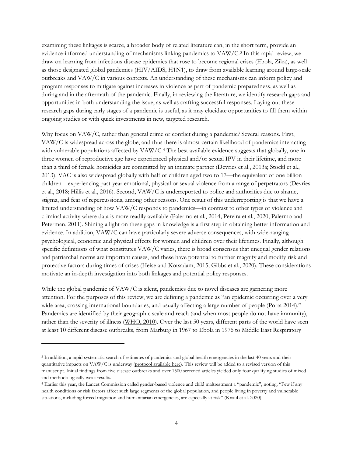examining these linkages is scarce, a broader body of related literature can, in the short term, provide an evidence-informed understanding of mechanisms linking pandemics to VAW/C.[3](#page-5-0) In this rapid review, we draw on learning from infectious disease epidemics that rose to become regional crises (Ebola, Zika), as well as those designated global pandemics (HIV/AIDS, H1N1), to draw from available learning around large-scale outbreaks and VAW/C in various contexts. An understanding of these mechanisms can inform policy and program responses to mitigate against increases in violence as part of pandemic preparedness, as well as during and in the aftermath of the pandemic. Finally, in reviewing the literature, we identify research gaps and opportunities in both understanding the issue, as well as crafting successful responses. Laying out these research gaps during early stages of a pandemic is useful, as it may elucidate opportunities to fill them within ongoing studies or with quick investments in new, targeted research.

Why focus on VAW/C, rather than general crime or conflict during a pandemic? Several reasons. First, VAW/C is widespread across the globe, and thus there is almost certain likelihood of pandemics interacting with vulnerable populations affected by  $VAW/C<sup>4</sup>$  $VAW/C<sup>4</sup>$  $VAW/C<sup>4</sup>$ . The best available evidence suggests that globally, one in three women of reproductive age have experienced physical and/or sexual IPV in their lifetime, and more than a third of female homicides are committed by an intimate partner (Devries et al., 2013a; Stockl et al., 2013). VAC is also widespread globally with half of children aged two to 17—the equivalent of one billion children—experiencing past-year emotional, physical or sexual violence from a range of perpetrators (Devries et al., 2018; Hillis et al., 2016). Second, VAW/C is underreported to police and authorities due to shame, stigma, and fear of repercussions, among other reasons. One result of this underreporting is that we have a limited understanding of how VAW/C responds to pandemics—in contrast to other types of violence and criminal activity where data is more readily available (Palermo et al., 2014; Pereira et al., 2020; Palermo and Peterman, 2011). Shining a light on these gaps in knowledge is a first step in obtaining better information and evidence. In addition, VAW/C can have particularly severe adverse consequences, with wide-ranging psychological, economic and physical effects for women and children over their lifetimes. Finally, although specific definitions of what constitutes VAW/C varies, there is broad consensus that unequal gender relations and patriarchal norms are important causes, and these have potential to further magnify and modify risk and protective factors during times of crises (Heise and Kotsadam, 2015; Gibbs et al., 2020). These considerations motivate an in-depth investigation into both linkages and potential policy responses.

While the global pandemic of VAW/C is silent, pandemics due to novel diseases are garnering more attention. For the purposes of this review, we are defining a pandemic as "an epidemic occurring over a very wide area, crossing international boundaries, and usually affecting a large number of people [\(Porta 2014\)](https://www.ncbi.nlm.nih.gov/books/NBK525302/)." Pandemics are identified by their geographic scale and reach (and when most people do not have immunity), rather than the severity of illness [\(WHO, 2010\)](https://www.ncbi.nlm.nih.gov/books/NBK525302/). Over the last 50 years, different parts of the world have seen at least 10 different disease outbreaks, from Marburg in 1967 to Ebola in 1976 to Middle East Respiratory

<span id="page-5-0"></span><sup>3</sup> In addition, a rapid systematic search of estimates of pandemics and global health emergencies in the last 40 years and their quantitative impacts on VAW/C is underway [\(protocol available here\).](https://drive.google.com/open?id=1R8KA7o0E6isVpG0b4NHZWPoEr60Gx-OA) This review will be added to a revised version of this manuscript. Initial findings from five disease outbreaks and over 1500 screened articles yielded only four qualifying studies of mixed and methodologically weak results.

<span id="page-5-1"></span><sup>4</sup> Earlier this year, the Lancet Commission called gender-based violence and child maltreatment a "pandemic", noting, "Few if any health conditions or risk factors affect such large segments of the global population, and people living in poverty and vulnerable situations, including forced migration and humanitarian emergencies, are especially at risk" [\(Knaul et al. 2020\)](https://www.ncbi.nlm.nih.gov/pubmed/31870498).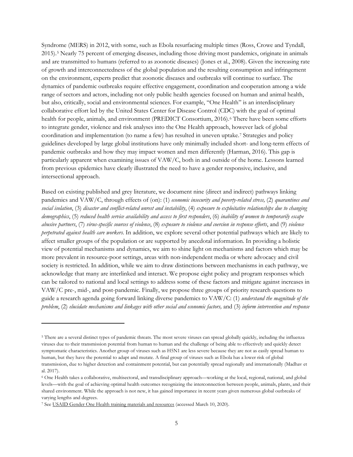Syndrome (MERS) in 2012, with some, such as Ebola resurfacing multiple times (Ross, Crowe and Tyndall, 2015).[5](#page-6-0) Nearly 75 percent of emerging diseases, including those driving most pandemics, originate in animals and are transmitted to humans (referred to as zoonotic diseases) (Jones et al., 2008). Given the increasing rate of growth and interconnectedness of the global population and the resulting consumption and infringement on the environment, experts predict that zoonotic diseases and outbreaks will continue to surface. The dynamics of pandemic outbreaks require effective engagement, coordination and cooperation among a wide range of sectors and actors, including not only public health agencies focused on human and animal health, but also, critically, social and environmental sciences. For example, "One Health" is an interdisciplinary collaborative effort led by the United States Center for Disease Control (CDC) with the goal of optimal health for people, animals, and environment (PREDICT Consortium, 201[6](#page-6-1)).<sup>6</sup> There have been some efforts to integrate gender, violence and risk analyses into the One Health approach, however lack of global coordination and implementation (to name a few) has resulted in uneven uptake.[7](#page-6-2) Strategies and policy guidelines developed by large global institutions have only minimally included short- and long-term effects of pandemic outbreaks and how they may impact women and men differently (Harman, 2016). This gap is particularly apparent when examining issues of VAW/C, both in and outside of the home. Lessons learned from previous epidemics have clearly illustrated the need to have a gender responsive, inclusive, and intersectional approach.

Based on existing published and grey literature, we document nine (direct and indirect) pathways linking pandemics and VAW/C, through effects of (on): (1) *economic insecurity and poverty-related stress,* (2) *quarantines and social isolation*, (3) *disaster and conflict-related unrest and instability*, (4) *exposure to exploitative relationships due to changing demographics*, (5) *reduced health service availability and access to first responders*, (6) *inability of women to temporarily escape abusive partners*, (7) *virus-specific sources of violence*, (8) *exposure to violence and coercion in response efforts*, and (9) *violence perpetrated against health care workers*. In addition, we explore several other potential pathways which are likely to affect smaller groups of the population or are supported by anecdotal information. In providing a holistic view of potential mechanisms and dynamics, we aim to shine light on mechanisms and factors which may be more prevalent in resource-poor settings, areas with non-independent media or where advocacy and civil society is restricted. In addition, while we aim to draw distinctions between mechanisms in each pathway, we acknowledge that many are interlinked and interact. We propose eight policy and program responses which can be tailored to national and local settings to address some of these factors and mitigate against increases in VAW/C pre-, mid-, and post-pandemic. Finally, we propose three groups of priority research questions to guide a research agenda going forward linking diverse pandemics to VAW/C: (1) *understand the magnitude of the problem*, (2) *elucidate mechanisms and linkages with other social and economic factors,* and (3) *inform intervention and response* 

<span id="page-6-0"></span><sup>5</sup> There are a several distinct types of pandemic threats. The most severe viruses can spread globally quickly, including the influenza viruses due to their transmission potential from human to human and the challenge of being able to effectively and quickly detect symptomatic characteristics. Another group of viruses such as H5N1 are less severe because they are not as easily spread human to human, but they have the potential to adapt and mutate. A final group of viruses such as Ebola has a lower risk of global transmission, due to higher detection and containment potential, but can potentially spread regionally and internationally (Madhav et al. 2017).

<span id="page-6-1"></span><sup>6</sup> One Health takes a collaborative, multisectoral, and transdisciplinary approach—working at the local, regional, national, and global levels—with the goal of achieving optimal health outcomes recognizing the interconnection between people, animals, plants, and their shared environment. While the approach is not new, it has gained importance in recent years given numerous global outbreaks of varying lengths and degrees.

<span id="page-6-2"></span><sup>7</sup> See [USAID Gender One Health training materials and resources](https://ohcea.org/index.php?option=com_content&view=article&id=168&Itemid=1055) (accessed March 10, 2020).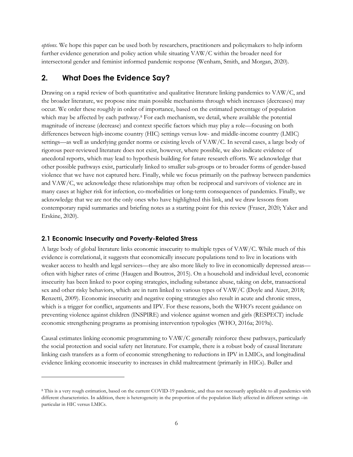*options.* We hope this paper can be used both by researchers, practitioners and policymakers to help inform further evidence generation and policy action while situating VAW/C within the broader need for intersectoral gender and feminist informed pandemic response (Wenham, Smith, and Morgan, 2020).

## <span id="page-7-0"></span>**2. What Does the Evidence Say?**

Drawing on a rapid review of both quantitative and qualitative literature linking pandemics to VAW/C, and the broader literature, we propose nine main possible mechanisms through which increases (decreases) may occur. We order these roughly in order of importance, based on the estimated percentage of population which may be affected by each pathway.<sup>8</sup> For each mechanism, we detail, where available the potential magnitude of increase (decrease) and context specific factors which may play a role—focusing on both differences between high-income country (HIC) settings versus low- and middle-income country (LMIC) settings—as well as underlying gender norms or existing levels of VAW/C. In several cases, a large body of rigorous peer-reviewed literature does not exist, however, where possible, we also indicate evidence of anecdotal reports, which may lead to hypothesis building for future research efforts. We acknowledge that other possible pathways exist, particularly linked to smaller sub-groups or to broader forms of gender-based violence that we have not captured here. Finally, while we focus primarily on the pathway between pandemics and VAW/C, we acknowledge these relationships may often be reciprocal and survivors of violence are in many cases at higher risk for infection, co-morbidities or long-term consequences of pandemics. Finally, we acknowledge that we are not the only ones who have highlighted this link, and we draw lessons from contemporary rapid summaries and briefing notes as a starting point for this review (Fraser, 2020; Yaker and Erskine, 2020).

#### <span id="page-7-1"></span>**2.1 Economic Insecurity and Poverty-Related Stress**

 $\overline{a}$ 

A large body of global literature links economic insecurity to multiple types of VAW/C. While much of this evidence is correlational, it suggests that economically insecure populations tend to live in locations with weaker access to health and legal services—they are also more likely to live in economically depressed areas often with higher rates of crime (Haugen and Boutros, 2015). On a household and individual level, economic insecurity has been linked to poor coping strategies, including substance abuse, taking on debt, transactional sex and other risky behaviors, which are in turn linked to various types of VAW/C (Doyle and Aizer, 2018; Renzetti, 2009). Economic insecurity and negative coping strategies also result in acute and chronic stress, which is a trigger for conflict, arguments and IPV. For these reasons, both the WHO's recent guidance on preventing violence against children (INSPIRE) and violence against women and girls (RESPECT) include economic strengthening programs as promising intervention typologies (WHO, 2016a; 2019a).

Causal estimates linking economic programming to VAW/C generally reinforce these pathways, particularly the social protection and social safety net literature. For example, there is a robust body of causal literature linking cash transfers as a form of economic strengthening to reductions in IPV in LMICs, and longitudinal evidence linking economic insecurity to increases in child maltreatment (primarily in HICs). Buller and

<span id="page-7-2"></span><sup>8</sup> This is a very rough estimation, based on the current COVID-19 pandemic, and thus not necessarily applicable to all pandemics with different characteristics. In addition, there is heterogeneity in the proportion of the population likely affected in different settings –in particular in HIC versus LMICs.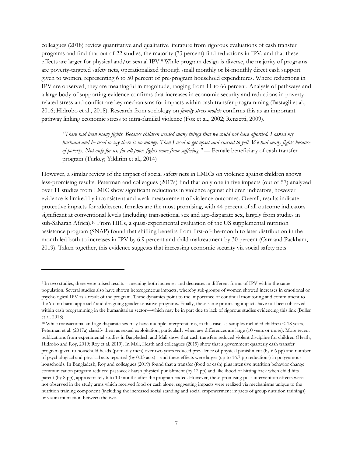colleagues (2018) review quantitative and qualitative literature from rigorous evaluations of cash transfer programs and find that out of 22 studies, the majority (73 percent) find reductions in IPV, and that these effects are larger for physical and/or sexual IPV[.9](#page-8-0) While program design is diverse, the majority of programs are poverty-targeted safety nets, operationalized through small monthly or bi-monthly direct cash support given to women, representing 6 to 50 percent of pre-program household expenditures. Where reductions in IPV are observed, they are meaningful in magnitude, ranging from 11 to 66 percent. Analysis of pathways and a large body of supporting evidence confirms that increases in economic security and reductions in povertyrelated stress and conflict are key mechanisms for impacts within cash transfer programming (Bastagli et al., 2016; Hidrobo et al., 2018). Research from sociology on *family stress models* confirms this as an important pathway linking economic stress to intra-familial violence (Fox et al., 2002; Renzetti, 2009).

*"There had been many fights. Because children needed many things that we could not have afforded. I asked my husband and he used to say there is no money. Then I used to get upset and started to yell. We had many fights because of poverty. Not only for us, for all poor, fights come from suffering." —* Female beneficiary of cash transfer program (Turkey; Yildirim et al., 2014)

However, a similar review of the impact of social safety nets in LMICs on violence against children shows less-promising results. Peterman and colleagues (2017a) find that only one in five impacts (out of 57) analyzed over 11 studies from LMIC show significant reductions in violence against children indicators, however evidence is limited by inconsistent and weak measurement of violence outcomes. Overall, results indicate protective impacts for adolescent females are the most promising, with 44 percent of all outcome indicators significant at conventional levels (including transactional sex and age-disparate sex, largely from studies in sub-Saharan Africa).[10](#page-8-1) From HICs, a quasi-experimental evaluation of the US supplemental nutrition assistance program (SNAP) found that shifting benefits from first-of-the-month to later distribution in the month led both to increases in IPV by 6.9 percent and child maltreatment by 30 percent (Carr and Packham, 2019). Taken together, this evidence suggests that increasing economic security via social safety nets

<span id="page-8-0"></span><sup>9</sup> In two studies, there were mixed results – meaning both increases and decreases in different forms of IPV within the same population. Several studies also have shown heterogeneous impacts, whereby sub-groups of women showed increases in emotional or psychological IPV as a result of the program. These dynamics point to the importance of continual monitoring and commitment to the 'do no harm approach' and designing gender-sensitive programs. Finally, these same promising impacts have not been observed within cash programming in the humanitarian sector—which may be in part due to lack of rigorous studies evidencing this link (Buller et al. 2018).

<span id="page-8-1"></span><sup>10</sup> While transactional and age-disparate sex may have multiple interpretations, in this case, as samples included children < 18 years, Peterman et al. (2017a) classify them as sexual exploitation, particularly when age differences are large (10 years or more). More recent publications from experimental studies in Bangladesh and Mali show that cash transfers reduced violent discipline for children (Heath, Hidrobo and Roy, 2019; Roy et al. 2019). In Mali, Heath and colleagues (2019) show that a government quarterly cash transfer program given to household heads (primarily men) over two years reduced prevalence of physical punishment (by 6.6 pp) and number of psychological and physical acts reported (by 0.33 acts)—and these effects were larger (up to 16.7 pp reductions) in polygamous households. In Bangladesh, Roy and colleagues (2019) found that a transfer (food or cash) plus intensive nutrition behavior change communication program reduced past-week harsh physical punishment (by 12 pp) and likelihood of hitting back when child hits parent (by 8 pp), approximately 6 to 10 months after the program ended. However, these promising post-intervention effects were not observed in the study arms which received food or cash alone, suggesting impacts were realized via mechanisms unique to the nutrition training component (including the increased social standing and social empowerment impacts of group nutrition trainings) or via an interaction between the two.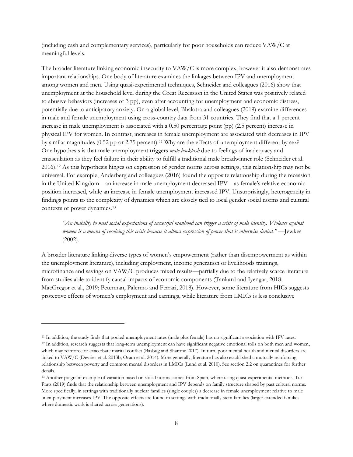(including cash and complementary services), particularly for poor households can reduce VAW/C at meaningful levels.

The broader literature linking economic insecurity to VAW/C is more complex, however it also demonstrates important relationships. One body of literature examines the linkages between IPV and unemployment among women and men. Using quasi-experimental techniques, Schneider and colleagues (2016) show that unemployment at the household level during the Great Recession in the United States was positively related to abusive behaviors (increases of 3 pp), even after accounting for unemployment and economic distress, potentially due to anticipatory anxiety. On a global level, Bhalotra and colleagues (2019) examine differences in male and female unemployment using cross-country data from 31 countries. They find that a 1 percent increase in male unemployment is associated with a 0.50 percentage point (pp) (2.5 percent) increase in physical IPV for women. In contrast, increases in female unemployment are associated with decreases in IPV by similar magnitudes (0.52 pp or 2.75 percent).<sup>[11](#page-9-0)</sup> Why are the effects of unemployment different by sex? One hypothesis is that male unemployment triggers *male backlash* due to feelings of inadequacy and emasculation as they feel failure in their ability to fulfill a traditional male breadwinner role (Schneider et al. 2016).[12](#page-9-1) As this hypothesis hinges on expression of gender norms across settings, this relationship may not be universal. For example, Anderberg and colleagues (2016) found the opposite relationship during the recession in the United Kingdom—an increase in male unemployment decreased IPV—as female's relative economic position increased, while an increase in female unemployment increased IPV. Unsurprisingly, heterogeneity in findings points to the complexity of dynamics which are closely tied to local gender social norms and cultural contexts of power dynamics.[13](#page-9-2)

*"An inability to meet social expectations of successful manhood can trigger a crisis of male identity. Violence against women is a means of resolving this crisis because it allows expression of power that is otherwise denied."* —Jewkes (2002).

A broader literature linking diverse types of women's empowerment (rather than disempowerment as within the unemployment literature), including employment, income generation or livelihoods trainings, microfinance and savings on VAW/C produces mixed results—partially due to the relatively scarce literature from studies able to identify causal impacts of economic components (Tankard and Iyengar, 2018; MacGregor et al., 2019; Peterman, Palermo and Ferrari, 2018). However, some literature from HICs suggests protective effects of women's employment and earnings, while literature from LMICs is less conclusive

<span id="page-9-1"></span><span id="page-9-0"></span><sup>11</sup> In addition, the study finds that pooled unemployment rates (male plus female) has no significant association with IPV rates. <sup>12</sup> In addition, research suggests that long-term unemployment can have significant negative emotional tolls on both men and women, which may reinforce or exacerbate marital conflict (Basbug and Sharone 2017). In turn, poor mental health and mental disorders are linked to VAW/C (Devries et al. 2013b; Oram et al. 2014). More generally, literature has also established a mutually reinforcing relationship between poverty and common mental disorders in LMICs (Lund et al. 2010). See section 2.2 on quarantines for further details.

<span id="page-9-2"></span><sup>13</sup> Another poignant example of variation based on social norms comes from Spain, where using quasi-experimental methods, Tur-Prats (2019) finds that the relationship between unemployment and IPV depends on family structure shaped by past cultural norms. More specifically, in settings with traditionally nuclear families (single couples) a decrease in female unemployment relative to male unemployment increases IPV. The opposite effects are found in settings with traditionally stem families (larger extended families where domestic work is shared across generations).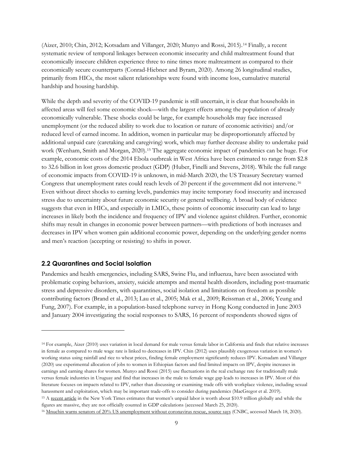(Aizer, 2010; Chin, 2012; Kotsadam and Villanger, 2020; Munyo and Rossi, 2015).[14](#page-10-1) Finally, a recent systematic review of temporal linkages between economic insecurity and child maltreatment found that economically insecure children experience three to nine times more maltreatment as compared to their economically secure counterparts (Conrad-Hiebner and Byram, 2020). Among 26 longitudinal studies, primarily from HICs, the most salient relationships were found with income loss, cumulative material hardship and housing hardship.

While the depth and severity of the COVID-19 pandemic is still uncertain, it is clear that households in affected areas will feel some economic shock—with the largest effects among the population of already economically vulnerable. These shocks could be large, for example households may face increased unemployment (or the reduced ability to work due to location or nature of economic activities) and/or reduced level of earned income. In addition, women in particular may be disproportionately affected by additional unpaid care (caretaking and caregiving) work, which may further decrease ability to undertake paid work (Wenham, Smith and Morgan, 2020).[15](#page-10-2) The aggregate economic impact of pandemics can be huge. For example, economic costs of the 2014 Ebola outbreak in West Africa have been estimated to range from \$2.8 to 32.6 billion in lost gross domestic product (GDP) (Huber, Finelli and Stevens, 2018). While the full range of economic impacts from COVID-19 is unknown, in mid-March 2020, the US Treasury Secretary warned Congress that unemployment rates could reach levels of 20 percent if the government did not intervene.[16](#page-10-3) Even without direct shocks to earning levels, pandemics may incite temporary food insecurity and increased stress due to uncertainty about future economic security or general wellbeing. A broad body of evidence suggests that even in HICs, and especially in LMICs, these points of economic insecurity can lead to large increases in likely both the incidence and frequency of IPV and violence against children. Further, economic shifts may result in changes in economic power between partners—with predictions of both increases and decreases in IPV when women gain additional economic power, depending on the underlying gender norms and men's reaction (accepting or resisting) to shifts in power.

#### <span id="page-10-0"></span>**2.2 Quarantines and Social Isolation**

 $\overline{a}$ 

Pandemics and health emergencies, including SARS, Swine Flu, and influenza, have been associated with problematic coping behaviors, anxiety, suicide attempts and mental health disorders, including post-traumatic stress and depressive disorders, with quarantines, social isolation and limitations on freedom as possible contributing factors (Brand et al., 2013; Lau et al., 2005; Mak et al., 2009; Reissman et al., 2006; Yeung and Fung, 2007). For example, in a population-based telephone survey in Hong Kong conducted in June 2003 and January 2004 investigating the social responses to SARS, 16 percent of respondents showed signs of

<span id="page-10-1"></span><sup>14</sup> For example, Aizer (2010) uses variation in local demand for male versus female labor in California and finds that relative increases in female as compared to male wage rate is linked to decreases in IPV. Chin (2012) uses plausibly exogenous variation in women's working status using rainfall and rice to wheat prices, finding female employment significantly reduces IPV. Kotsadam and Villanger (2020) use experimental allocation of jobs to women in Ethiopian factors and find limited impacts on IPV, despite increases in earnings and earning shares for women. Munyo and Rossi (2015) use fluctuations in the real exchange rate for traditionally male versus female industries in Uruguay and find that increases in the male to female wage gap leads to increases in IPV. Most of this literature focuses on impacts related to IPV, rather than discussing or examining trade offs with workplace violence, including sexual harassment and exploitation, which may be important trade-offs to consider during pandemics (MacGregor et al. 2019). <sup>15</sup> A [recent article](https://www.nytimes.com/interactive/2020/03/04/opinion/women-unpaid-labor.html) in the New York Times estimates that women's unpaid labor is worth about \$10.9 trillion globally and while the figures are massive, they are not officially counted in GDP calculations (accessed March 25, 2020).

<span id="page-10-3"></span><span id="page-10-2"></span><sup>&</sup>lt;sup>16</sup> [Mnuchin warns senators of 20% US unemployment without coronavirus rescue, source says](https://www.cnbc.com/2020/03/18/mnuchin-warns-senators-of-20percent-us-unemployment-without-coronavirus-rescue-source-says.html) (CNBC, accessed March 18, 2020).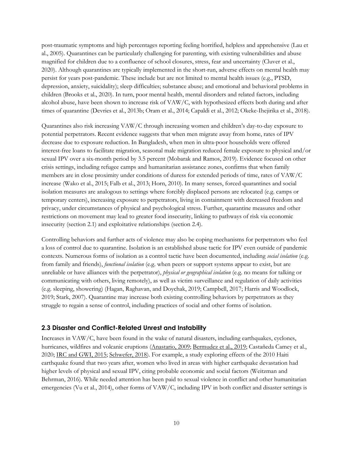post-traumatic symptoms and high percentages reporting feeling horrified, helpless and apprehensive (Lau et al., 2005). Quarantines can be particularly challenging for parenting, with existing vulnerabilities and abuse magnified for children due to a confluence of school closures, stress, fear and uncertainty (Cluver et al., 2020). Although quarantines are typically implemented in the short-run, adverse effects on mental health may persist for years post-pandemic. These include but are not limited to mental health issues (e.g., PTSD, depression, anxiety, suicidality); sleep difficulties; substance abuse; and emotional and behavioral problems in children (Brooks et al., 2020). In turn, poor mental health, mental disorders and related factors, including alcohol abuse, have been shown to increase risk of VAW/C, with hypothesized effects both during and after times of quarantine (Devries et al., 2013b; Oram et al., 2014; Capaldi et al., 2012; Okeke-Ihejirika et al., 2018).

Quarantines also risk increasing VAW/C through increasing women and children's day-to-day exposure to potential perpetrators. Recent evidence suggests that when men migrate away from home, rates of IPV decrease due to exposure reduction. In Bangladesh, when men in ultra-poor households were offered interest-free loans to facilitate migration, seasonal male migration reduced female exposure to physical and/or sexual IPV over a six-month period by 3.5 percent (Mobarak and Ramos, 2019). Evidence focused on other crisis settings, including refugee camps and humanitarian assistance zones, confirms that when family members are in close proximity under conditions of duress for extended periods of time, rates of VAW/C increase (Wako et al., 2015; Falb et al., 2013; Horn, 2010). In many senses, forced quarantines and social isolation measures are analogous to settings where forcibly displaced persons are relocated (e.g. camps or temporary centers), increasing exposure to perpetrators, living in containment with decreased freedom and privacy, under circumstances of physical and psychological stress. Further, quarantine measures and other restrictions on movement may lead to greater food insecurity, linking to pathways of risk via economic insecurity (section 2.1) and exploitative relationships (section 2.4).

Controlling behaviors and further acts of violence may also be coping mechanisms for perpetrators who feel a loss of control due to quarantine. Isolation is an established abuse tactic for IPV even outside of pandemic contexts. Numerous forms of isolation as a control tactic have been documented, including *social isolation* (e.g. from family and friends), *functional isolation* (e.g. when peers or support systems appear to exist, but are unreliable or have alliances with the perpetrator), *physical or geographical isolation* (e.g. no means for talking or communicating with others, living remotely), as well as victim surveillance and regulation of daily activities (e.g. sleeping, showering) (Hagan, Raghavan, and Doychak, 2019; Campbell, 2017; Harris and Woodlock, 2019; Stark, 2007). Quarantine may increase both existing controlling behaviors by perpetrators as they struggle to regain a sense of control, including practices of social and other forms of isolation.

#### <span id="page-11-0"></span>**2.3 Disaster and Conflict-Related Unrest and Instability**

Increases in VAW/C, have been found in the wake of natural disasters, including earthquakes, cyclones, hurricanes, wildfires and volcanic eruptions [\(Anastario, 2009;](https://www.cambridge.org/core/journals/disaster-medicine-and-public-health-preparedness/article/increased-genderbased-violence-among-women-internally-displaced-in-mississippi-2-years-posthurricane-katrina/D576CBEB73639E69823A1391B5BF160B) [Bermudez et al., 2019;](https://www.sciencedirect.com/science/article/abs/pii/S0145213419300067) Castañeda Camey et al., 2020; [IRC and GWI, 2015;](https://globalwomensinstitute.gwu.edu/sites/g/files/zaxdzs1356/f/downloads/REPORT%20Responding%20to%20Typhoon%20Haiyan%20-%20women%20and%20girls%20left%20behind.pdf) [Schwefer, 2018\)](https://ideas.repec.org/p/ces/ifowps/_263.html). For example, a study exploring effects of the 2010 Haiti earthquake found that two years after, women who lived in areas with higher earthquake devastation had higher levels of physical and sexual IPV, citing probable economic and social factors (Weitzman and Behrman, 2016). While needed attention has been paid to sexual violence in conflict and other humanitarian emergencies (Vu et al., 2014), other forms of VAW/C, including IPV in both conflict and disaster settings is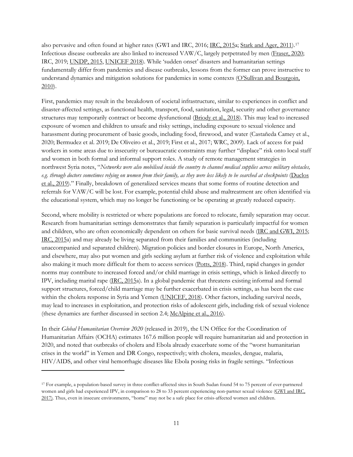also pervasive and often found at higher rates (GWI and IRC, 2016; [IRC, 2015a](https://www.rescue.org/report/private-violence-public-concern-intimate-partner-violence-humanitarian-settings); [Stark and Ager, 2011\)](https://www.ncbi.nlm.nih.gov/pubmed/21511685)[.17](#page-12-0) Infectious disease outbreaks are also linked to increased VAW/C, largely perpetrated by men [\(Fraser, 2020;](http://www.sddirect.org.uk/media/1881/vawg-helpdesk-284-covid-19-and-vawg.pdf) IRC, 2019[; UNDP, 2015,](https://www.undp.org/content/dam/sierraleone/docs/Ebola%20Docs./SL%20FS%20SGBV.pdf) [UNICEF 2018\)](http://www.sddirect.org.uk/media/1617/health-responses-and-gbv-short-query-v2.pdf). While 'sudden onset' disasters and humanitarian settings fundamentally differ from pandemics and disease outbreaks, lessons from the former can prove instructive to understand dynamics and mitigation solutions for pandemics in some contexts [\(O'Sullivan and Bourgoin,](https://www.researchgate.net/profile/Tracey_Osullivan/publication/282817477_Vulnerability_in_an_Influenza_Pandemic_Looking_Beyond_Medical_Risk/links/561d4ae308aef097132b209c/Vulnerability-in-an-Influenza-Pandemic-Looking-Beyond-Medical-Risk.pdf)  [2010\)](https://www.researchgate.net/profile/Tracey_Osullivan/publication/282817477_Vulnerability_in_an_Influenza_Pandemic_Looking_Beyond_Medical_Risk/links/561d4ae308aef097132b209c/Vulnerability-in-an-Influenza-Pandemic-Looking-Beyond-Medical-Risk.pdf).

First, pandemics may result in the breakdown of societal infrastructure, similar to experiences in conflict and disaster-affected settings, as functional health, transport, food, sanitation, legal, security and other governance structures may temporarily contract or become dysfunctional [\(Briody et al., 2018\)](https://www.ncbi.nlm.nih.gov/pmc/articles/PMC5930682/). This may lead to increased exposure of women and children to unsafe and risky settings, including exposure to sexual violence and harassment during procurement of basic goods, including food, firewood, and water (Castañeda Camey et al., 2020; Bermudez et al. 2019; De Oliveiro et al., 2019; First et al., 2017; WRC, 2009). Lack of access for paid workers in some areas due to insecurity or bureaucratic constraints may further "displace" risk onto local staff and women in both formal and informal support roles. A study of remote management strategies in northwest Syria notes, "*Networks were also mobilised inside the country to channel medical supplies across military obstacles, e.g. through doctors sometimes relying on women from their family, as they were less likely to be searched at checkpoints* [\(Duclos](https://conflictandhealth.biomedcentral.com/articles/10.1186/s13031-019-0207-z)  [et al., 2019\)](https://conflictandhealth.biomedcentral.com/articles/10.1186/s13031-019-0207-z)." Finally, breakdown of generalized services means that some forms of routine detection and referrals for VAW/C will be lost. For example, potential child abuse and maltreatment are often identified via the educational system, which may no longer be functioning or be operating at greatly reduced capacity.

Second, where mobility is restricted or where populations are forced to relocate, family separation may occur. Research from humanitarian settings demonstrates that family separation is particularly impactful for women and children, who are often economically dependent on others for basic survival needs [\(IRC and GWI, 2015;](https://globalwomensinstitute.gwu.edu/sites/g/files/zaxdzs1356/f/downloads/REPORT%20Responding%20to%20Typhoon%20Haiyan%20-%20women%20and%20girls%20left%20behind.pdf) [IRC, 2015a](https://www.rescue.org/report/private-violence-public-concern-intimate-partner-violence-humanitarian-settings)) and may already be living separated from their families and communities (including unaccompanied and separated children). Migration policies and border closures in Europe, North America, and elsewhere, may also put women and girls seeking asylum at further risk of violence and exploitation while also making it much more difficult for them to access services [\(Potts, 2018\)](https://publications.iom.int/system/files/pdf/mpp_special_issue_34.pdf). Third, rapid changes in gender norms may contribute to increased forced and/or child marriage in crisis settings, which is linked directly to IPV, including marital rape [\(IRC, 2015a](https://www.rescue.org/report/private-violence-public-concern-intimate-partner-violence-humanitarian-settings)). In a global pandemic that threatens existing informal and formal support structures, forced/child marriage may be further exacerbated in crisis settings, as has been the case within the cholera response in Syria and Yemen [\(UNICEF, 2018\)](http://www.sddirect.org.uk/media/1617/health-responses-and-gbv-short-query-v2.pdf). Other factors, including survival needs, may lead to increases in exploitation, and protection risks of adolescent girls, including risk of sexual violence (these dynamics are further discussed in section 2.4; [McAlpine et al., 2016\)](https://www.ncbi.nlm.nih.gov/pmc/articles/PMC5192570/).

In their *Global Humanitarian Overview 2020* (released in 2019), the UN Office for the Coordination of Humanitarian Affairs (OCHA) estimates 167.6 million people will require humanitarian aid and protection in 2020, and noted that outbreaks of cholera and Ebola already exacerbate some of the "worst humanitarian crises in the world" in Yemen and DR Congo, respectively; with cholera, measles, dengue, malaria, HIV/AIDS, and other viral hemorrhagic diseases like Ebola posing risks in fragile settings. "Infectious

<span id="page-12-0"></span><sup>17</sup> For example, a population-based survey in three conflict-affected sites in South Sudan found 54 to 75 percent of ever-partnered women and girls had experienced IPV, in comparison to 28 to 33 percent experiencing non-partner sexual violence [\(GWI and IRC,](https://globalwomensinstitute.gwu.edu/sites/g/files/zaxdzs1356/f/downloads/P868%20IRC%20Synthesis%20brief%20report_LR.PDF)  [2017\)](https://globalwomensinstitute.gwu.edu/sites/g/files/zaxdzs1356/f/downloads/P868%20IRC%20Synthesis%20brief%20report_LR.PDF). Thus, even in insecure environments, "home" may not be a safe place for crisis-affected women and children.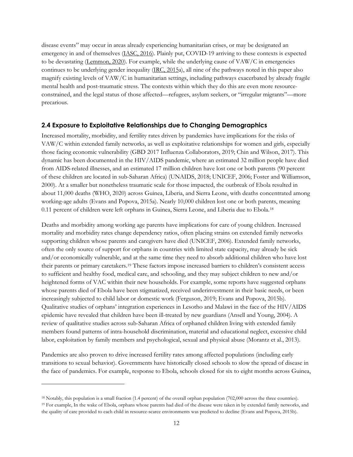disease events" may occur in areas already experiencing humanitarian crises, or may be designated an emergency in and of themselves [\(IASC, 2016\)](https://interagencystandingcommittee.org/principals/documents-public/final-iasc-system-wide-level-3-l3-activation-procedures-infectious). Plainly put, COVID-19 arriving to these contexts is expected to be devastating [\(Lemmon, 2020\)](https://www.cnn.com/2020/03/23/opinions/refugees-displaced-people-coronavirus-threat-lemmon/index.html). For example, while the underlying cause of VAW/C in emergencies continues to be underlying gender inequality [\(IRC, 2015a](https://www.rescue.org/report/private-violence-public-concern-intimate-partner-violence-humanitarian-settings)), all nine of the pathways noted in this paper also magnify existing levels of VAW/C in humanitarian settings, including pathways exacerbated by already fragile mental health and post-traumatic stress. The contexts within which they do this are even more resourceconstrained, and the legal status of those affected—refugees, asylum seekers, or "irregular migrants"—more precarious.

#### <span id="page-13-0"></span>**2.4 Exposure to Exploitative Relationships due to Changing Demographics**

Increased mortality, morbidity, and fertility rates driven by pandemics have implications for the risks of VAW/C within extended family networks, as well as exploitative relationships for women and girls, especially those facing economic vulnerability (GBD 2017 Influenza Collaborators, 2019; Chin and Wilson, 2017). This dynamic has been documented in the HIV/AIDS pandemic, where an estimated 32 million people have died from AIDS-related illnesses, and an estimated 17 million children have lost one or both parents (90 percent of these children are located in sub-Saharan Africa) (UNAIDS, 2018; UNICEF, 2006; Foster and Williamson, 2000). At a smaller but nonetheless traumatic scale for those impacted, the outbreak of Ebola resulted in about 11,000 deaths (WHO, 2020) across Guinea, Liberia, and Sierra Leone, with deaths concentrated among working-age adults (Evans and Popova, 2015a). Nearly 10,000 children lost one or both parents, meaning 0.11 percent of children were left orphans in Guinea, Sierra Leone, and Liberia due to Ebola.<sup>[18](#page-13-1)</sup>

Deaths and morbidity among working age parents have implications for care of young children. Increased mortality and morbidity rates change dependency ratios, often placing strains on extended family networks supporting children whose parents and caregivers have died (UNICEF, 2006). Extended family networks, often the only source of support for orphans in countries with limited state capacity, may already be sick and/or economically vulnerable, and at the same time they need to absorb additional children who have lost their parents or primary caretakers.[19](#page-13-2) These factors impose increased barriers to children's consistent access to sufficient and healthy food, medical care, and schooling, and they may subject children to new and/or heightened forms of VAC within their new households. For example, some reports have suggested orphans whose parents died of Ebola have been stigmatized, received underinvestment in their basic needs, or been increasingly subjected to child labor or domestic work (Ferguson, 2019; Evans and Popova, 2015b). Qualitative studies of orphans' integration experiences in Lesotho and Malawi in the face of the HIV/AIDS epidemic have revealed that children have been ill-treated by new guardians (Ansell and Young, 2004). A review of qualitative studies across sub-Saharan Africa of orphaned children living with extended family members found patterns of intra-household discrimination, material and educational neglect, excessive child labor, exploitation by family members and psychological, sexual and physical abuse (Morantz et al., 2013).

Pandemics are also proven to drive increased fertility rates among affected populations (including early transitions to sexual behavior). Governments have historically closed schools to slow the spread of disease in the face of pandemics. For example, response to Ebola, schools closed for six to eight months across Guinea,

<span id="page-13-2"></span><span id="page-13-1"></span><sup>18</sup> Notably, this population is a small fraction (1.4 percent) of the overall orphan population (702,000 across the three countries). <sup>19</sup> For example, In the wake of Ebola, orphans whose parents had died of the disease were taken in by extended family networks, and the quality of care provided to each child in resource-scarce environments was predicted to decline (Evans and Popova, 2015b).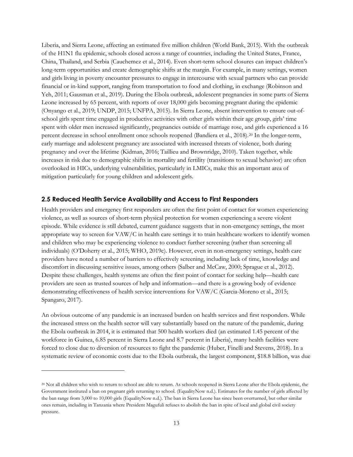Liberia, and Sierra Leone, affecting an estimated five million children (World Bank, 2015). With the outbreak of the H1N1 flu epidemic, schools closed across a range of countries, including the United States, France, China, Thailand, and Serbia (Cauchemez et al., 2014). Even short-term school closures can impact children's long-term opportunities and create demographic shifts at the margin. For example, in many settings, women and girls living in poverty encounter pressures to engage in intercourse with sexual partners who can provide financial or in-kind support, ranging from transportation to food and clothing, in exchange (Robinson and Yeh, 2011; Gausman et al., 2019). During the Ebola outbreak, adolescent pregnancies in some parts of Sierra Leone increased by 65 percent, with reports of over 18,000 girls becoming pregnant during the epidemic (Onyango et al., 2019; UNDP, 2015; UNFPA, 2015). In Sierra Leone, absent intervention to ensure out-ofschool girls spent time engaged in productive activities with other girls within their age group, girls' time spent with older men increased significantly, pregnancies outside of marriage rose, and girls experienced a 16 percent decrease in school enrollment once schools reopened (Bandiera et al., [20](#page-14-1)18).<sup>20</sup> In the longer-term, early marriage and adolescent pregnancy are associated with increased threats of violence, both during pregnancy and over the lifetime (Kidman, 2016; Taillieu and Brownridge, 2010). Taken together, while increases in risk due to demographic shifts in mortality and fertility (transitions to sexual behavior) are often overlooked in HICs, underlying vulnerabilities, particularly in LMICs, make this an important area of mitigation particularly for young children and adolescent girls.

#### <span id="page-14-0"></span>**2.5 Reduced Health Service Availability and Access to First Responders**

Health providers and emergency first responders are often the first point of contact for women experiencing violence, as well as sources of short-term physical protection for women experiencing a severe violent episode. While evidence is still debated, current guidance suggests that in non-emergency settings, the most appropriate way to screen for VAW/C in health care settings it to train healthcare workers to identify women and children who may be experiencing violence to conduct further screening (rather than screening all individuals) (O'Doherty et al., 2015; WHO, 2019c). However, even in non-emergency settings, health care providers have noted a number of barriers to effectively screening, including lack of time, knowledge and discomfort in discussing sensitive issues, among others (Salber and McCaw, 2000; Sprague et al., 2012). Despite these challenges, health systems are often the first point of contact for seeking help—health care providers are seen as trusted sources of help and information—and there is a growing body of evidence demonstrating effectiveness of health service interventions for VAW/C (Garcia-Moreno et al., 2015; Spangaro, 2017).

An obvious outcome of any pandemic is an increased burden on health services and first responders. While the increased stress on the health sector will vary substantially based on the nature of the pandemic, during the Ebola outbreak in 2014, it is estimated that 500 health workers died (an estimated 1.45 percent of the workforce in Guinea, 6.85 percent in Sierra Leone and 8.7 percent in Liberia), many health facilities were forced to close due to diversion of resources to fight the pandemic (Huber, Finelli and Stevens, 2018). In a systematic review of economic costs due to the Ebola outbreak, the largest component, \$18.8 billion, was due

<span id="page-14-1"></span><sup>20</sup> Not all children who wish to return to school are able to return. As schools reopened in Sierra Leone after the Ebola epidemic, the Government instituted a ban on pregnant girls returning to school. (EqualityNow n.d.). Estimates for the number of girls affected by the ban range from 3,000 to 10,000 girls (EqualityNow n.d.). The ban in Sierra Leone has since been overturned, but other similar ones remain, including in Tanzania where President Magufuli refuses to abolish the ban in spite of local and global civil society pressure.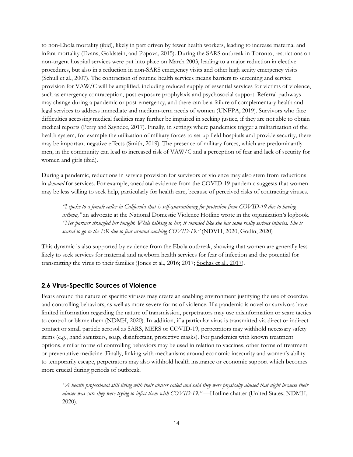to non-Ebola mortality (ibid), likely in part driven by fewer health workers, leading to increase maternal and infant mortality (Evans, Goldstein, and Popova, 2015). During the SARS outbreak in Toronto, restrictions on non-urgent hospital services were put into place on March 2003, leading to a major reduction in elective procedures, but also in a reduction in non-SARS emergency visits and other high acuity emergency visits (Schull et al., 2007). The contraction of routine health services means barriers to screening and service provision for VAW/C will be amplified, including reduced supply of essential services for victims of violence, such as emergency contraception, post-exposure prophylaxis and psychosocial support. Referral pathways may change during a pandemic or post-emergency, and there can be a failure of complementary health and legal services to address immediate and medium-term needs of women (UNFPA, 2019). Survivors who face difficulties accessing medical facilities may further be impaired in seeking justice, if they are not able to obtain medical reports (Perry and Sayndee, 2017). Finally, in settings where pandemics trigger a militarization of the health system, for example the utilization of military forces to set up field hospitals and provide security, there may be important negative effects (Smith, 2019). The presence of military forces, which are predominantly men, in the community can lead to increased risk of VAW/C and a perception of fear and lack of security for women and girls (ibid).

During a pandemic, reductions in service provision for survivors of violence may also stem from reductions in *demand* for services. For example, anecdotal evidence from the COVID-19 pandemic suggests that women may be less willing to seek help, particularly for health care, because of perceived risks of contracting viruses.

*"I spoke to a female caller in California that is self-quarantining for protection from COVID-19 due to having asthma,"* an advocate at the National Domestic Violence Hotline wrote in the organization's logbook. *"Her partner strangled her tonight. While talking to her, it sounded like she has some really serious injuries. She is scared to go to the ER due to fear around catching COVID-19."* (NDVH, 2020; Godin, 2020)

This dynamic is also supported by evidence from the Ebola outbreak, showing that women are generally less likely to seek services for maternal and newborn health services for fear of infection and the potential for transmitting the virus to their families (Jones et al., 2016; 2017; [Sochas et al., 2017\)](https://www.ncbi.nlm.nih.gov/pubmed/29149310).

#### <span id="page-15-0"></span>**2.6 Virus-Specific Sources of Violence**

Fears around the nature of specific viruses may create an enabling environment justifying the use of coercive and controlling behaviors, as well as more severe forms of violence. If a pandemic is novel or survivors have limited information regarding the nature of transmission, perpetrators may use misinformation or scare tactics to control or blame them (NDMH, 2020). In addition, if a particular virus is transmitted via direct or indirect contact or small particle aerosol as SARS, MERS or COVID-19, perpetrators may withhold necessary safety items (e.g., hand sanitizers, soap, disinfectant, protective masks). For pandemics with known treatment options, similar forms of controlling behaviors may be used in relation to vaccines, other forms of treatment or preventative medicine. Finally, linking with mechanisms around economic insecurity and women's ability to temporarily escape, perpetrators may also withhold health insurance or economic support which becomes more crucial during periods of outbreak.

*"A health professional still living with their abuser called and said they were physically abused that night because their abuser was sure they were trying to infect them with COVID-19." —*Hotline chatter (United States; NDMH, 2020).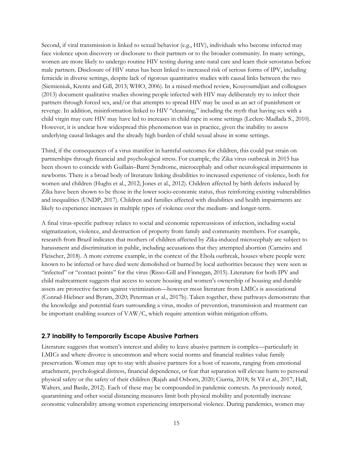Second, if viral transmission is linked to sexual behavior (e.g., HIV), individuals who become infected may face violence upon discovery or disclosure to their partners or to the broader community. In many settings, women are more likely to undergo routine HIV testing during ante-natal care and learn their serostatus before male partners. Disclosure of HIV status has been linked to increased risk of serious forms of IPV, including femicide in diverse settings, despite lack of rigorous quantitative studies with causal links between the two (Siemieniuk, Krentz and Gill, 2013; WHO, 2006). In a mixed-method review, Kouyoumdjian and colleagues (2013) document qualitative studies showing people infected with HIV may deliberately try to infect their partners through forced sex, and/or that attempts to spread HIV may be used as an act of punishment or revenge. In addition, misinformation linked to HIV "cleansing," including the myth that having sex with a child virgin may cure HIV may have led to increases in child rape in some settings (Leclerc-Madlada S., 2010). However, it is unclear how widespread this phenomenon was in practice, given the inability to assess underlying causal linkages and the already high burden of child sexual abuse in some settings.

Third, if the consequences of a virus manifest in harmful outcomes for children, this could put strain on partnerships through financial and psychological stress. For example, the Zika virus outbreak in 2015 has been shown to coincide with Guillain–Barré Syndrome, microcephaly and other neurological impairments in newborns. There is a broad body of literature linking disabilities to increased experience of violence, both for women and children (Hughs et al., 2012; Jones et al., 2012). Children affected by birth defects induced by Zika have been shown to be those in the lower socio-economic status, thus reinforcing existing vulnerabilities and inequalities (UNDP, 2017). Children and families affected with disabilities and health impairments are likely to experience increases in multiple types of violence over the medium- and longer-term.

A final virus-specific pathway relates to social and economic repercussions of infection, including social stigmatization, violence, and destruction of property from family and community members. For example, research from Brazil indicates that mothers of children affected by Zika-induced microcephaly are subject to harassment and discrimination in public, including accusations that they attempted abortion (Carneiro and Fleischer, 2018). A more extreme example, in the context of the Ebola outbreak, houses where people were known to be infected or have died were demolished or burned by local authorities because they were seen as "infected" or "contact points" for the virus (Risso-Gill and Finnegan, 2015). Literature for both IPV and child maltreatment suggests that access to secure housing and women's ownership of housing and durable assets are protective factors against victimization—however most literature from LMICs is associational (Conrad-Hiebner and Byram, 2020; Peterman et al., 2017b). Taken together, these pathways demonstrate that the knowledge and potential fears surrounding a virus, modes of prevention, transmission and treatment can be important enabling sources of VAW/C, which require attention within mitigation efforts.

#### <span id="page-16-0"></span>**2.7 Inability to Temporarily Escape Abusive Partners**

Literature suggests that women's interest and ability to leave abusive partners is complex—particularly in LMICs and where divorce is uncommon and where social norms and financial realities value family preservation. Women may opt to stay with abusive partners for a host of reasons, ranging from emotional attachment, psychological distress, financial dependence, or fear that separation will elevate harm to personal physical safety or the safety of their children (Rajah and Osborn, 2020; Ciurria, 2018; St Vil et al., 2017; Hall, Walters, and Basile, 2012). Each of these may be compounded in pandemic contexts. As previously noted, quarantining and other social distancing measures limit both physical mobility and potentially increase economic vulnerability among women experiencing interpersonal violence. During pandemics, women may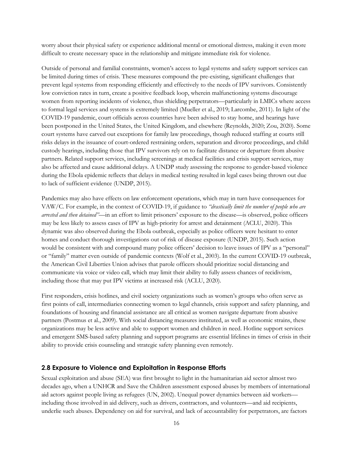worry about their physical safety or experience additional mental or emotional distress, making it even more difficult to create necessary space in the relationship and mitigate immediate risk for violence.

Outside of personal and familial constraints, women's access to legal systems and safety support services can be limited during times of crisis. These measures compound the pre-existing, significant challenges that prevent legal systems from responding efficiently and effectively to the needs of IPV survivors. Consistently low conviction rates in turn, create a positive feedback loop, wherein malfunctioning systems discourage women from reporting incidents of violence, thus shielding perpetrators—particularly in LMICs where access to formal legal services and systems is extremely limited (Mueller et al., 2019; Larcombe, 2011). In light of the COVID-19 pandemic, court officials across countries have been advised to stay home, and hearings have been postponed in the United States, the United Kingdom, and elsewhere (Reynolds, 2020; Zou, 2020). Some court systems have carved out exceptions for family law proceedings, though reduced staffing at courts still risks delays in the issuance of court-ordered restraining orders, separation and divorce proceedings, and child custody hearings, including those that IPV survivors rely on to facilitate distance or departure from abusive partners. Related support services, including screenings at medical facilities and crisis support services, may also be affected and cause additional delays. A UNDP study assessing the response to gender-based violence during the Ebola epidemic reflects that delays in medical testing resulted in legal cases being thrown out due to lack of sufficient evidence (UNDP, 2015).

Pandemics may also have effects on law enforcement operations, which may in turn have consequences for VAW/C. For example, in the context of COVID-19, if guidance to *"drastically limit the number of people who are arrested and then detained"*—in an effort to limit prisoners' exposure to the disease—is observed, police officers may be less likely to assess cases of IPV as high-priority for arrest and detainment (ACLU, 2020). This dynamic was also observed during the Ebola outbreak, especially as police officers were hesitant to enter homes and conduct thorough investigations out of risk of disease exposure (UNDP, 2015). Such action would be consistent with and compound many police officers' decision to leave issues of IPV as a "personal" or "family" matter even outside of pandemic contexts (Wolf et al., 2003). In the current COVID-19 outbreak, the American Civil Liberties Union advises that parole officers should prioritize social distancing and communicate via voice or video call, which may limit their ability to fully assess chances of recidivism, including those that may put IPV victims at increased risk (ACLU, 2020).

First responders, crisis hotlines, and civil society organizations such as women's groups who often serve as first points of call, intermediaries connecting women to legal channels, crisis support and safety planning, and foundations of housing and financial assistance are all critical as women navigate departure from abusive partners (Postmus et al., 2009). With social distancing measures instituted, as well as economic strains, these organizations may be less active and able to support women and children in need. Hotline support services and emergent SMS-based safety planning and support programs are essential lifelines in times of crisis in their ability to provide crisis counseling and strategic safety planning even remotely.

#### <span id="page-17-0"></span>**2.8 Exposure to Violence and Exploitation in Response Efforts**

Sexual exploitation and abuse (SEA) was first brought to light in the humanitarian aid sector almost two decades ago, when a UNHCR and Save the Children assessment exposed abuses by members of international aid actors against people living as refugees (UN, 2002). Unequal power dynamics between aid workers including those involved in aid delivery, such as drivers, contractors, and volunteers—and aid recipients, underlie such abuses. Dependency on aid for survival, and lack of accountability for perpetrators, are factors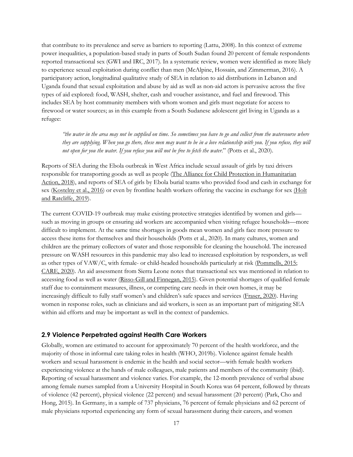that contribute to its prevalence and serve as barriers to reporting (Lattu, 2008). In this context of extreme power inequalities, a population-based study in parts of South Sudan found 20 percent of female respondents reported transactional sex (GWI and IRC, 2017). In a systematic review, women were identified as more likely to experience sexual exploitation during conflict than men (McAlpine, Hossain, and Zimmerman, 2016). A participatory action, longitudinal qualitative study of SEA in relation to aid distributions in Lebanon and Uganda found that sexual exploitation and abuse by aid as well as non-aid actors is pervasive across the five types of aid explored: food, WASH, shelter, cash and voucher assistance, and fuel and firewood. This includes SEA by host community members with whom women and girls must negotiate for access to firewood or water sources; as in this example from a South Sudanese adolescent girl living in Uganda as a refugee:

*"the water in the area may not be supplied on time. So sometimes you have to go and collect from the watercourse where they are supplying. When you go there, these men may want to be in a love relationship with you. If you refuse, they will not open for you the water. If you refuse you will not be free to fetch the water*." (Potts et al., 2020).

Reports of SEA during the Ebola outbreak in West Africa include sexual assault of girls by taxi drivers responsible for transporting goods as well as people [\(The Alliance for Child Protection in Humanitarian](https://alliancecpha.org/en/system/tdf/library/attachments/cp_during_ido_guide_0.pdf?file=1&type=node&id=30184)  [Action, 2018\)](https://alliancecpha.org/en/system/tdf/library/attachments/cp_during_ido_guide_0.pdf?file=1&type=node&id=30184), and reports of SEA of girls by Ebola burial teams who provided food and cash in exchange for sex [\(Kostelny et al., 2016\)](https://resourcecentre.savethechildren.net/library/worse-war-ethnographic-study-impact-ebola-crisis-life-sex-teenage-pregnancy-and-community) or even by frontline health workers offering the vaccine in exchange for sex (Holt [and Ratcliffe, 2019\)](https://www.theguardian.com/global-development/2019/feb/12/ebola-vaccine-offered-in-exchange-for-sex-say-women-in-congo-drc).

The current COVID-19 outbreak may make existing protective strategies identified by women and girls such as moving in groups or ensuring aid workers are accompanied when visiting refugee households—more difficult to implement. At the same time shortages in goods mean women and girls face more pressure to access these items for themselves and their households (Potts et al., 2020). In many cultures, women and children are the primary collectors of water and those responsible for cleaning the household. The increased pressure on WASH resources in this pandemic may also lead to increased exploitation by responders, as well as other types of VAW/C, with female- or child-headed households particularly at risk [\(Pommells, 2015;](https://macsphere.mcmaster.ca/handle/11375/18420) [CARE, 2020\)](https://www.care-international.org/files/files/Gendered_Implications_of_COVID-19-Executive_Summary.pdf). An aid assessment from Sierra Leone notes that transactional sex was mentioned in relation to accessing food as well as water [\(Risso-Gill and Finnegan, 2015\)](https://www.savethechildren.org/content/dam/global/reports/emergency-humanitarian-response/ebola-rec-sierraleone.pdf). Given potential shortages of qualified female staff due to containment measures, illness, or competing care needs in their own homes, it may be increasingly difficult to fully staff women's and children's safe spaces and services [\(Fraser, 2020\)](http://www.sddirect.org.uk/media/1881/vawg-helpdesk-284-covid-19-and-vawg.pdf). Having women in response roles, such as clinicians and aid workers, is seen as an important part of mitigating SEA within aid efforts and may be important as well in the context of pandemics.

#### <span id="page-18-0"></span>**2.9 Violence Perpetrated against Health Care Workers**

Globally, women are estimated to account for approximately 70 percent of the health workforce, and the majority of those in informal care taking roles in health (WHO, 2019b). Violence against female health workers and sexual harassment is endemic in the health and social sector—with female health workers experiencing violence at the hands of male colleagues, male patients and members of the community (ibid). Reporting of sexual harassment and violence varies. For example, the 12-month prevalence of verbal abuse among female nurses sampled from a University Hospital in South Korea was 64 percent, followed by threats of violence (42 percent), physical violence (22 percent) and sexual harassment (20 percent) (Park, Cho and Hong, 2015). In Germany, in a sample of 737 physicians, 76 percent of female physicians and 62 percent of male physicians reported experiencing any form of sexual harassment during their careers, and women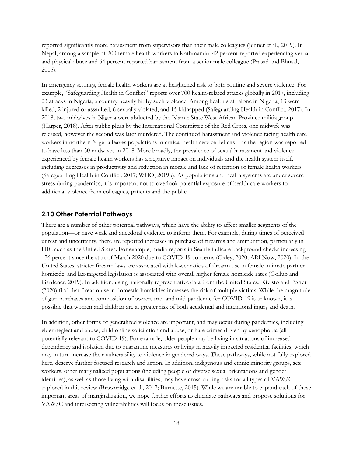reported significantly more harassment from supervisors than their male colleagues (Jenner et al., 2019). In Nepal, among a sample of 200 female health workers in Kathmandu, 42 percent reported experiencing verbal and physical abuse and 64 percent reported harassment from a senior male colleague (Prasad and Bhusal, 2015).

In emergency settings, female health workers are at heightened risk to both routine and severe violence. For example, "Safeguarding Health in Conflict" reports over 700 health-related attacks globally in 2017, including 23 attacks in Nigeria, a country heavily hit by such violence. Among health staff alone in Nigeria, 13 were killed, 2 injured or assaulted, 6 sexually violated, and 15 kidnapped (Safeguarding Health in Conflict, 2017). In 2018, two midwives in Nigeria were abducted by the Islamic State West African Province militia group (Harper, 2018). After public pleas by the International Committee of the Red Cross, one midwife was released, however the second was later murdered. The continued harassment and violence facing health care workers in northern Nigeria leaves populations in critical health service deficits—as the region was reported to have less than 50 midwives in 2018. More broadly, the prevalence of sexual harassment and violence experienced by female health workers has a negative impact on individuals and the health system itself, including decreases in productivity and reduction in morale and lack of retention of female health workers (Safeguarding Health in Conflict, 2017; WHO, 2019b). As populations and health systems are under severe stress during pandemics, it is important not to overlook potential exposure of health care workers to additional violence from colleagues, patients and the public.

#### <span id="page-19-0"></span>**2.10 Other Potential Pathways**

There are a number of other potential pathways, which have the ability to affect smaller segments of the population—or have weak and anecdotal evidence to inform them. For example, during times of perceived unrest and uncertainty, there are reported increases in purchase of firearms and ammunition, particularly in HIC such as the United States. For example, media reports in Seattle indicate background checks increasing 176 percent since the start of March 2020 due to COVID-19 concerns (Oxley, 2020; ARLNow, 2020). In the United States, stricter firearm laws are associated with lower ratios of firearm use in female intimate partner homicide, and lax-targeted legislation is associated with overall higher female homicide rates (Gollub and Gardener, 2019). In addition, using nationally representative data from the United States, Kivisto and Porter (2020) find that firearm use in domestic homicides increases the risk of multiple victims. While the magnitude of gun purchases and composition of owners pre- and mid-pandemic for COVID-19 is unknown, it is possible that women and children are at greater risk of both accidental and intentional injury and death.

In addition, other forms of generalized violence are important, and may occur during pandemics, including elder neglect and abuse, child online solicitation and abuse, or hate crimes driven by xenophobia (all potentially relevant to COVID-19). For example, older people may be living in situations of increased dependency and isolation due to quarantine measures or living in heavily impacted residential facilities, which may in turn increase their vulnerability to violence in gendered ways. These pathways, while not fully explored here, deserve further focused research and action. In addition, indigenous and ethnic minority groups, sex workers, other marginalized populations (including people of diverse sexual orientations and gender identities), as well as those living with disabilities, may have cross-cutting risks for all types of VAW/C explored in this review (Brownridge et al., 2017; Burnette, 2015). While we are unable to expand each of these important areas of marginalization, we hope further efforts to elucidate pathways and propose solutions for VAW/C and intersecting vulnerabilities will focus on these issues.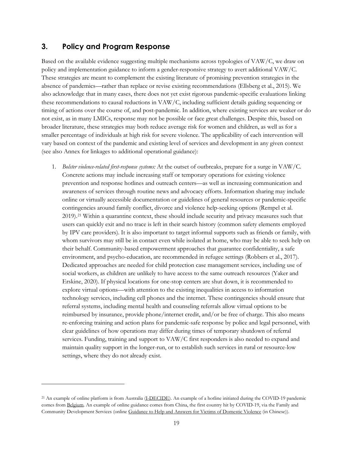#### <span id="page-20-0"></span>**3. Policy and Program Response**

 $\overline{a}$ 

Based on the available evidence suggesting multiple mechanisms across typologies of VAW/C, we draw on policy and implementation guidance to inform a gender-responsive strategy to avert additional VAW/C. These strategies are meant to complement the existing literature of promising prevention strategies in the absence of pandemics—rather than replace or revise existing recommendations (Ellsberg et al., 2015). We also acknowledge that in many cases, there does not yet exist rigorous pandemic-specific evaluations linking these recommendations to causal reductions in VAW/C, including sufficient details guiding sequencing or timing of actions over the course of, and post-pandemic. In addition, where existing services are weaker or do not exist, as in many LMICs, response may not be possible or face great challenges. Despite this, based on broader literature, these strategies may both reduce average risk for women and children, as well as for a smaller percentage of individuals at high risk for severe violence. The applicability of each intervention will vary based on context of the pandemic and existing level of services and development in any given context (see also Annex for linkages to additional operational guidance):

1. *Bolster violence-related first-response systems:* At the outset of outbreaks, prepare for a surge in VAW/C. Concrete actions may include increasing staff or temporary operations for existing violence prevention and response hotlines and outreach centers—as well as increasing communication and awareness of services through routine news and advocacy efforts. Information sharing may include online or virtually accessible documentation or guidelines of general resources or pandemic-specific contingencies around family conflict, divorce and violence help-seeking options (Rempel et al. 2019).[21](#page-20-1) Within a quarantine context, these should include security and privacy measures such that users can quickly exit and no trace is left in their search history (common safety elements employed by IPV care providers). It is also important to target informal supports such as friends or family, with whom survivors may still be in contact even while isolated at home, who may be able to seek help on their behalf. Community-based empowerment approaches that guarantee confidentiality, a safe environment, and psycho-education, are recommended in refugee settings (Robbers et al., 2017). Dedicated approaches are needed for child protection case management services, including use of social workers, as children are unlikely to have access to the same outreach resources (Yaker and Erskine, 2020). If physical locations for one-stop centers are shut down, it is recommended to explore virtual options—with attention to the existing inequalities in access to information technology services, including cell phones and the internet. These contingencies should ensure that referral systems, including mental health and counseling referrals allow virtual options to be reimbursed by insurance, provide phone/internet credit, and/or be free of charge. This also means re-enforcing training and action plans for pandemic-safe response by police and legal personnel, with clear guidelines of how operations may differ during times of temporary shutdown of referral services. Funding, training and support to VAW/C first responders is also needed to expand and maintain quality support in the longer-run, or to establish such services in rural or resource-low settings, where they do not already exist.

<span id="page-20-1"></span><sup>&</sup>lt;sup>21</sup> An example of online platform is from Australia [\(I-DECIDE\)](http://idecide.org.au/). An example of a hotline initiated during the COVID-19 pandemic comes from Belgium. An example of online guidance comes from China, the first country hit by COVID-19, via the Family and Community Development Services (online [Guidance to Help and Answers for Victims of Domestic Violence](https://mp.weixin.qq.com/s/qSp14zOcFHLgiCMKxsXQTQ) (in Chinese)).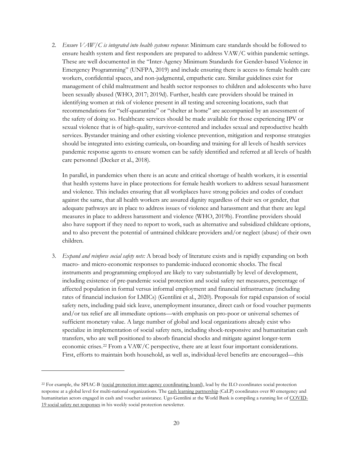2. *Ensure VAW/C is integrated into health systems response*: Minimum care standards should be followed to ensure health system and first responders are prepared to address VAW/C within pandemic settings. These are well documented in the "Inter-Agency Minimum Standards for Gender-based Violence in Emergency Programming" (UNFPA, 2019) and include ensuring there is access to female health care workers, confidential spaces, and non-judgmental, empathetic care. Similar guidelines exist for management of child maltreatment and health sector responses to children and adolescents who have been sexually abused (WHO, 2017; 2019d). Further, health care providers should be trained in identifying women at risk of violence present in all testing and screening locations, such that recommendations for "self-quarantine" or "shelter at home" are accompanied by an assessment of the safety of doing so. Healthcare services should be made available for those experiencing IPV or sexual violence that is of high-quality, survivor-centered and includes sexual and reproductive health services. Bystander training and other existing violence prevention, mitigation and response strategies should be integrated into existing curricula, on-boarding and training for all levels of health services pandemic response agents to ensure women can be safely identified and referred at all levels of health care personnel (Decker et al., 2018).

In parallel, in pandemics when there is an acute and critical shortage of health workers, it is essential that health systems have in place protections for female health workers to address sexual harassment and violence. This includes ensuring that all workplaces have strong policies and codes of conduct against the same, that all health workers are assured dignity regardless of their sex or gender, that adequate pathways are in place to address issues of violence and harassment and that there are legal measures in place to address harassment and violence (WHO, 2019b). Frontline providers should also have support if they need to report to work, such as alternative and subsidized childcare options, and to also prevent the potential of untrained childcare providers and/or neglect (abuse) of their own children.

3. *Expand and reinforce social safety nets:* A broad body of literature exists and is rapidly expanding on both macro- and micro-economic responses to pandemic-induced economic shocks. The fiscal instruments and programming employed are likely to vary substantially by level of development, including existence of pre-pandemic social protection and social safety net measures, percentage of affected population in formal versus informal employment and financial infrastructure (including rates of financial inclusion for LMICs) (Gentilini et al., 2020). Proposals for rapid expansion of social safety nets, including paid sick leave, unemployment insurance, direct cash or food voucher payments and/or tax relief are all immediate options—with emphasis on pro-poor or universal schemes of sufficient monetary value. A large number of global and local organizations already exist who specialize in implementation of social safety nets, including shock-responsive and humanitarian cash transfers, who are well positioned to absorb financial shocks and mitigate against longer-term economic crises.[22](#page-21-0) From a VAW/C perspective, there are at least four important considerations. First, efforts to maintain both household, as well as, individual-level benefits are encouraged—this

<span id="page-21-0"></span><sup>&</sup>lt;sup>22</sup> For example, the SPIAC-B [\(social protection inter-agency coordinating board\)](https://www.ilo.org/newyork/at-the-un/social-protection-inter-agency-cooperation-board/lang--en/index.htm), lead by the ILO coordinates social protection response at a global level for multi-national organizations. Th[e cash learning partnership](https://www.calpnetwork.org/) (CaLP) coordinates over 80 emergency and humanitarian actors engaged in cash and voucher assistance. Ugo Gentilini at the World Bank is compiling a running list o[f COVID-](http://www.ugogentilini.net/)19 [social safety net responses](http://www.ugogentilini.net/) in his weekly social protection newsletter.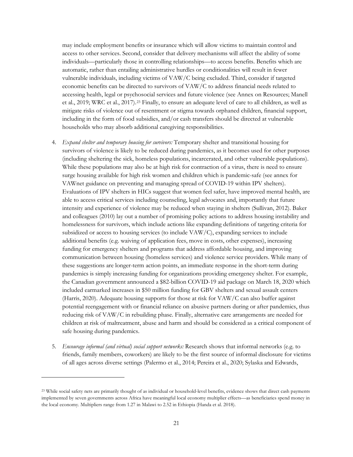may include employment benefits or insurance which will allow victims to maintain control and access to other services. Second, consider that delivery mechanisms will affect the ability of some individuals—particularly those in controlling relationships—to access benefits. Benefits which are automatic, rather than entailing administrative hurdles or conditionalities will result in fewer vulnerable individuals, including victims of VAW/C being excluded. Third, consider if targeted economic benefits can be directed to survivors of VAW/C to address financial needs related to accessing health, legal or psychosocial services and future violence (see Annex on Resources; Manell et al., 2019; WRC et al., 2017).[23](#page-22-0) Finally, to ensure an adequate level of care to all children, as well as mitigate risks of violence out of resentment or stigma towards orphaned children, financial support, including in the form of food subsidies, and/or cash transfers should be directed at vulnerable households who may absorb additional caregiving responsibilities.

- 4. *Expand shelter and temporary housing for survivors:* Temporary shelter and transitional housing for survivors of violence is likely to be reduced during pandemics, as it becomes used for other purposes (including sheltering the sick, homeless populations, incarcerated, and other vulnerable populations). While these populations may also be at high risk for contraction of a virus, there is need to ensure surge housing available for high risk women and children which is pandemic-safe (see annex for VAWnet guidance on preventing and managing spread of COVID-19 within IPV shelters). Evaluations of IPV shelters in HICs suggest that women feel safer, have improved mental health, are able to access critical services including counseling, legal advocates and, importantly that future intensity and experience of violence may be reduced when staying in shelters (Sullivan, 2012). Baker and colleagues (2010) lay out a number of promising policy actions to address housing instability and homelessness for survivors, which include actions like expanding definitions of targeting criteria for subsidized or access to housing services (to include VAW/C), expanding services to include additional benefits (e.g. waiving of application fees, move in costs, other expenses), increasing funding for emergency shelters and programs that address affordable housing, and improving communication between housing (homeless services) and violence service providers. While many of these suggestions are longer-term action points, an immediate response in the short-term during pandemics is simply increasing funding for organizations providing emergency shelter. For example, the Canadian government announced a \$82-billion COVID-19 aid package on March 18, 2020 which included earmarked increases in \$50 million funding for GBV shelters and sexual assault centers (Harris, 2020). Adequate housing supports for those at risk for VAW/C can also buffer against potential reengagement with or financial reliance on abusive partners during or after pandemics, thus reducing risk of VAW/C in rebuilding phase. Finally, alternative care arrangements are needed for children at risk of maltreatment, abuse and harm and should be considered as a critical component of safe housing during pandemics.
- 5. *Encourage informal (and virtual) social support networks:* Research shows that informal networks (e.g. to friends, family members, coworkers) are likely to be the first source of informal disclosure for victims of all ages across diverse settings (Palermo et al., 2014; Pereira et al., 2020; Sylaska and Edwards,

<span id="page-22-0"></span><sup>&</sup>lt;sup>23</sup> While social safety nets are primarily thought of as individual or household-level benefits, evidence shows that direct cash payments implemented by seven governments across Africa have meaningful local economy multiplier effects—as beneficiaries spend money in the local economy. Multipliers range from 1.27 in Malawi to 2.52 in Ethiopia (Handa et al. 2018).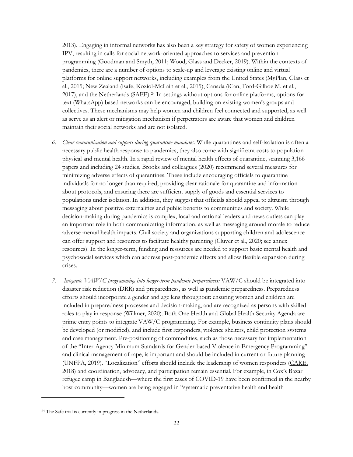2013). Engaging in informal networks has also been a key strategy for safety of women experiencing IPV, resulting in calls for social network-oriented approaches to services and prevention programming (Goodman and Smyth, 2011; Wood, Glass and Decker, 2019). Within the contexts of pandemics, there are a number of options to scale-up and leverage existing online and virtual platforms for online support networks, including examples from the United States (MyPlan, Glass et al., 2015; New Zealand (isafe, Koziol-McLain et al., 2015), Canada (iCan, Ford-Gilboe M. et al., 2017), and the Netherlands (SAFE).[24](#page-23-0) In settings without options for online platforms, options for text (WhatsApp) based networks can be encouraged, building on existing women's groups and collectives. These mechanisms may help women and children feel connected and supported, as well as serve as an alert or mitigation mechanism if perpetrators are aware that women and children maintain their social networks and are not isolated.

- *6. Clear communication and support during quarantine mandates:* While quarantines and self-isolation is often a necessary public health response to pandemics, they also come with significant costs to population physical and mental health. In a rapid review of mental health effects of quarantine, scanning 3,166 papers and including 24 studies, Brooks and colleagues (2020) recommend several measures for minimizing adverse effects of quarantines. These include encouraging officials to quarantine individuals for no longer than required, providing clear rationale for quarantine and information about protocols, and ensuring there are sufficient supply of goods and essential services to populations under isolation. In addition, they suggest that officials should appeal to altruism through messaging about positive externalities and public benefits to communities and society. While decision-making during pandemics is complex, local and national leaders and news outlets can play an important role in both communicating information, as well as messaging around morale to reduce adverse mental health impacts. Civil society and organizations supporting children and adolescence can offer support and resources to facilitate healthy parenting (Cluver et al., 2020; see annex resources). In the longer-term, funding and resources are needed to support basic mental health and psychosocial services which can address post-pandemic effects and allow flexible expansion during crises.
- *7. Integrate VAW/C programming into longer-term pandemic preparedness:* VAW/C should be integrated into disaster risk reduction (DRR) and preparedness, as well as pandemic preparedness. Preparedness efforts should incorporate a gender and age lens throughout: ensuring women and children are included in preparedness processes and decision-making, and are recognized as persons with skilled roles to play in response [\(Willmer, 2020\)](https://www.scidev.net/global/gender/news/gender-blind-coronavirus-policies-could-hinder-disease-fight.html?utm_source=IGWG&utm_campaign=c0a486cdd2-EMAIL_CAMPAIGN_2020_03_24_02_34&utm_medium=email&utm_term=0_a24996ea0a-c0a486cdd2-60889735&__cf_chl_jschl_tk__=2c80b248b942a9df90512544522f7e9f2b411770-1585103324-0-AX36re0xg_H8NKqU92okWITKqBbqdlZhfESOapZjz_ANCycYWSvTrSNWw9jlM-b42bFj-9LMDc-M-tbMu4M3r_ePl7hfP1_ZgEJ9MfX4rKZheiITPgRPHqJ_rjOiAOtCgTvK2tSgFzuk7t0LEAb72K3irLTdrI19-aX0UEQmYfv2qzCOHBFtTEEZYcaKz_ULY77QKkhBjyCrPovqesoF6BMkE3QVsOp8arOR5E9veqvun75t-UfIJcq2Pyt7CrK5m1ehMsGBOq09eb09erneDFXBYlisto0MSH9Ilp9qEzjbbqncPbpCsVgBNXoLDEDXX8-x8RyEZzQMwVLdn1-f28tFuyFoCDhZ6jSDUk0LeSweuGaj-12frbuud9vZM3qjfSF92xHWVIusnSLW16fVmdhf2N4j41JT-LggLy-DF1AdJfIvr92qLmlk2mefaM_o52EeVSQeRBvFH9DuNuSMQ-https://www.scidev.net/global/gender/news/gender-blind-coronavirus-policies-could-hinder-disease-fight.html). Both One Health and Global Health Security Agenda are prime entry points to integrate VAW/C programming. For example, business continuity plans should be developed (or modified), and include first responders, violence shelters, child protection systems and case management. Pre-positioning of commodities, such as those necessary for implementation of the "Inter-Agency Minimum Standards for Gender-based Violence in Emergency Programming" and clinical management of rape, is important and should be included in current or future planning (UNFPA, 2019). "Localization" efforts should include the leadership of women responders [\(CARE,](https://insights.careinternational.org.uk/media/k2/attachments/CARE_Women-responders-report_2018.pdf) 2018) and coordination, advocacy, and participation remain essential. For example, in Cox's Bazar refugee camp in Bangladesh—where the first cases of COVID-19 have been confirmed in the nearby host community—women are being engaged in "systematic preventative health and health

<span id="page-23-0"></span><sup>&</sup>lt;sup>24</sup> The *Safe trial* is currently in progress in the Netherlands.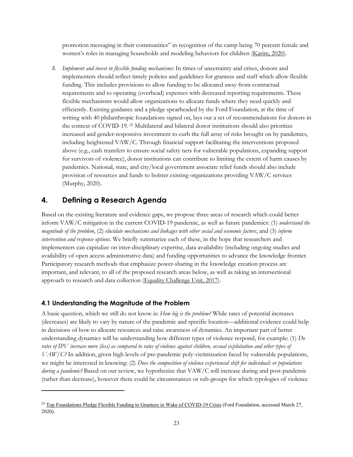promotion messaging in their communities" in recognition of the camp being 70 percent female and women's roles in managing households and modeling behaviors for children [\(Karim, 2020\)](https://news.trust.org/item/20200311121342-ncyuh/).

*8. Implement and invest in flexible funding mechanisms:* In times of uncertainty and crises, donors and implementers should reflect timely policies and guidelines for grantees and staff which allow flexible funding. This includes provisions to allow funding to be allocated away from contractual requirements and to operating (overhead) expenses with decreased reporting requirements. These flexible mechanisms would allow organizations to allocate funds where they need quickly and efficiently. Existing guidance and a pledge spearheaded by the Ford Foundation, at the time of writing with 40 philanthropic foundations signed on, lays out a set of recommendations for donors in the context of COVID-19. [25](#page-24-2) Multilateral and bilateral donor institutions should also prioritize increased and gender-responsive investment to curb the full array of risks brought on by pandemics, including heightened VAW/C. Through financial support facilitating the interventions proposed above (e.g., cash transfers to ensure social safety nets for vulnerable populations, expanding support for survivors of violence), donor institutions can contribute to limiting the extent of harm causes by pandemics. National, state, and city/local government associate relief funds should also include provision of resources and funds to bolster existing organizations providing VAW/C services (Murphy, 2020).

## <span id="page-24-0"></span>**4. Defining a Research Agenda**

Based on the existing literature and evidence gaps, we propose three areas of research which could better inform VAW/C mitigation in the current COVID-19 pandemic, as well as future pandemics: (1) *understand the magnitude of the problem*, (2) *elucidate mechanisms and linkages with other social and economic factors*, and (3) *inform intervention and response options*. We briefly summarize each of these, in the hope that researchers and implementers can capitalize on inter-disciplinary expertise, data availability (including ongoing studies and availability of open access administrative data) and funding opportunities to advance the knowledge frontier. Participatory research methods that emphasize power-sharing in the knowledge creation process are important, and relevant, to all of the proposed research areas below, as well as taking an intersectional approach to research and data collection [\(Equality Challenge Unit, 2017\)](http://www.ecu.ac.uk/wp-content/uploads/2017/04/Research_and_data_briefing_2_Intersectional_approaches_to_equality_research_and_data.pdf).

#### <span id="page-24-1"></span>**4.1 Understanding the Magnitude of the Problem**

 $\overline{a}$ 

A basic question, which we still do not know is: *How big is the problem?* While rates of potential increases (decreases) are likely to vary by nature of the pandemic and specific location—additional evidence could help in decisions of how to allocate resources and raise awareness of dynamics. An important part of better understanding dynamics will be understanding how different types of violence respond, for example: (1) *Do rates of IPV increase more (less) as compared to rates of violence against children, sexual exploitation and other types of VAW/C?* In addition, given high levels of pre-pandemic poly-victimization faced by vulnerable populations, we might be interested in knowing: (2) *Does the composition of violence experienced shift for individuals or populations during a pandemic?* Based on our review, we hypothesize that VAW/C will increase during and post-pandemic (rather than decrease), however there could be circumstances or sub-groups for which typologies of violence

<span id="page-24-2"></span><sup>&</sup>lt;sup>25</sup> [Top Foundations Pledge Flexible Funding to Grantees in Wake of COVID-19 Crisis](https://www.fordfoundation.org/the-latest/news/top-foundations-pledge-flexible-funding-to-grantees-in-wake-of-covid-19-crisis/) (Ford Foundation, accessed March 27, 2020).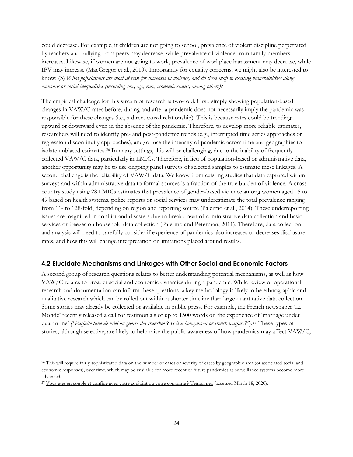could decrease. For example, if children are not going to school, prevalence of violent discipline perpetrated by teachers and bullying from peers may decrease, while prevalence of violence from family members increases. Likewise, if women are not going to work, prevalence of workplace harassment may decrease, while IPV may increase (MacGregor et al., 2019). Importantly for equality concerns, we might also be interested to know: (3) *What populations are most at risk for increases in violence, and do these map to existing vulnerabilities along economic or social inequalities (including sex, age, race, economic status, among others)?*

The empirical challenge for this stream of research is two-fold. First, simply showing population-based changes in VAW/C rates before, during and after a pandemic does not necessarily imply the pandemic was responsible for these changes (i.e., a direct causal relationship). This is because rates could be trending upward or downward even in the absence of the pandemic. Therefore, to develop more reliable estimates, researchers will need to identify pre- and post-pandemic trends (e.g., interrupted time series approaches or regression discontinuity approaches), and/or use the intensity of pandemic across time and geographies to isolate unbiased estimates.[26](#page-25-1) In many settings, this will be challenging, due to the inability of frequently collected VAW/C data, particularly in LMICs. Therefore, in lieu of population-based or administrative data, another opportunity may be to use ongoing panel surveys of selected samples to estimate these linkages. A second challenge is the reliability of VAW/C data. We know from existing studies that data captured within surveys and within administrative data to formal sources is a fraction of the true burden of violence. A cross country study using 28 LMICs estimates that prevalence of gender-based violence among women aged 15 to 49 based on health systems, police reports or social services may underestimate the total prevalence ranging from 11- to 128-fold, depending on region and reporting source (Palermo et al., 2014). These underreporting issues are magnified in conflict and disasters due to break down of administrative data collection and basic services or freezes on household data collection (Palermo and Peterman, 2011). Therefore, data collection and analysis will need to carefully consider if experience of pandemics also increases or decreases disclosure rates, and how this will change interpretation or limitations placed around results.

#### <span id="page-25-0"></span>**4.2 Elucidate Mechanisms and Linkages with Other Social and Economic Factors**

A second group of research questions relates to better understanding potential mechanisms, as well as how VAW/C relates to broader social and economic dynamics during a pandemic. While review of operational research and documentation can inform these questions, a key methodology is likely to be ethnographic and qualitative research which can be rolled out within a shorter timeline than large quantitative data collection. Some stories may already be collected or available in public press. For example, the French newspaper 'Le Monde' recently released a call for testimonials of up to 1500 words on the experience of 'marriage under quarantine' *("Parfaite lune de miel ou guerre des tranchées? Is it a honeymoon or trench warfare?"*)[.27](#page-25-2) These types of stories, although selective, are likely to help raise the public awareness of how pandemics may affect VAW/C,

<span id="page-25-1"></span><sup>26</sup> This will require fairly sophisticated data on the number of cases or severity of cases by geographic area (or associated social and economic responses), over time, which may be available for more recent or future pandemics as surveillance systems become more advanced.

<span id="page-25-2"></span><sup>&</sup>lt;sup>27</sup> Vous êtes en couple [et confiné avec votre conjoint ou votre conjointe ? Témoignez](https://www.lemonde.fr/planete/live/2020/03/18/vous-etes-en-couple-et-confine-avec-votre-conjoint-ou-votre-conjointe-temoignez_6033557_3244.html) (accessed March 18, 2020).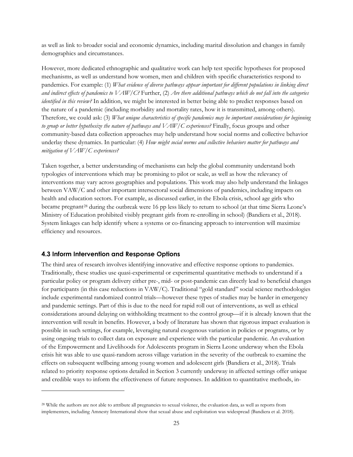as well as link to broader social and economic dynamics, including marital dissolution and changes in family demographics and circumstances.

However, more dedicated ethnographic and qualitative work can help test specific hypotheses for proposed mechanisms, as well as understand how women, men and children with specific characteristics respond to pandemics. For example: (1) *What evidence of diverse pathways appear important for different populations in linking direct and indirect effects of pandemics to VAW/C?* Further, (2) *Are there additional pathways which do not fall into the categories identified in this review?* In addition, we might be interested in better being able to predict responses based on the nature of a pandemic (including morbidity and mortality rates, how it is transmitted, among others). Therefore, we could ask: (3) *What unique characteristics of specific pandemics may be important considerations for beginning to group or better hypothesize the nature of pathways and VAW/C experiences?* Finally, focus groups and other community-based data collection approaches may help understand how social norms and collective behavior underlay these dynamics. In particular: (4) *How might social norms and collective behaviors matter for pathways and mitigation of VAW/C experiences?* 

Taken together, a better understanding of mechanisms can help the global community understand both typologies of interventions which may be promising to pilot or scale, as well as how the relevancy of interventions may vary across geographies and populations. This work may also help understand the linkages between VAW/C and other important intersectoral social dimensions of pandemics, including impacts on health and education sectors. For example, as discussed earlier, in the Ebola crisis, school age girls who became pregnant<sup>[28](#page-26-1)</sup> during the outbreak were 16 pp less likely to return to school (at that time Sierra Leone's Ministry of Education prohibited visibly pregnant girls from re-enrolling in school) (Bandiera et al., 2018). System linkages can help identify where a systems or co-financing approach to intervention will maximize efficiency and resources.

#### <span id="page-26-0"></span>**4.3 Inform Intervention and Response Options**

 $\overline{a}$ 

The third area of research involves identifying innovative and effective response options to pandemics. Traditionally, these studies use quasi-experimental or experimental quantitative methods to understand if a particular policy or program delivery either pre-, mid- or post-pandemic can directly lead to beneficial changes for participants (in this case reductions in VAW/C). Traditional "gold standard" social science methodologies include experimental randomized control trials—however these types of studies may be harder in emergency and pandemic settings. Part of this is due to the need for rapid roll out of interventions, as well as ethical considerations around delaying on withholding treatment to the control group—if it is already known that the intervention will result in benefits. However, a body of literature has shown that rigorous impact evaluation is possible in such settings, for example, leveraging natural exogenous variation in policies or programs, or by using ongoing trials to collect data on exposure and experience with the particular pandemic. An evaluation of the Empowerment and Livelihoods for Adolescents program in Sierra Leone underway when the Ebola crisis hit was able to use quasi-random across village variation in the severity of the outbreak to examine the effects on subsequent wellbeing among young women and adolescent girls (Bandiera et al., 2018). Trials related to priority response options detailed in Section 3 currently underway in affected settings offer unique and credible ways to inform the effectiveness of future responses. In addition to quantitative methods, in-

<span id="page-26-1"></span><sup>28</sup> While the authors are not able to attribute all pregnancies to sexual violence, the evaluation data, as well as reports from implementers, including Amnesty International show that sexual abuse and exploitation was widespread (Bandiera et al. 2018).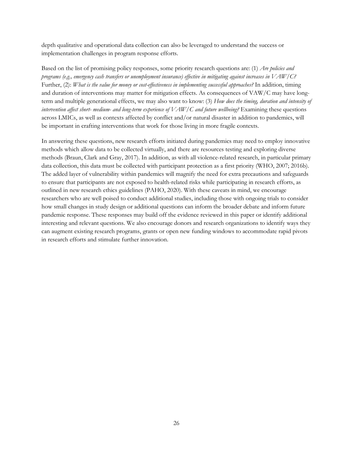depth qualitative and operational data collection can also be leveraged to understand the success or implementation challenges in program response efforts.

Based on the list of promising policy responses, some priority research questions are: (1) *Are policies and programs (e.g., emergency cash transfers or unemployment insurance) effective in mitigating against increases in VAW/C?*  Further, (2): *What is the value for money or cost-effectiveness in implementing successful approaches?* In addition, timing and duration of interventions may matter for mitigation effects. As consequences of VAW/C may have longterm and multiple generational effects, we may also want to know: (3) *How does the timing, duration and intensity of intervention affect short- medium- and long-term experience of VAW/C and future wellbeing?* Examining these questions across LMICs, as well as contexts affected by conflict and/or natural disaster in addition to pandemics, will be important in crafting interventions that work for those living in more fragile contexts.

In answering these questions, new research efforts initiated during pandemics may need to employ innovative methods which allow data to be collected virtually, and there are resources testing and exploring diverse methods (Braun, Clark and Gray, 2017). In addition, as with all violence-related research, in particular primary data collection, this data must be collected with participant protection as a first priority (WHO, 2007; 2016b). The added layer of vulnerability within pandemics will magnify the need for extra precautions and safeguards to ensure that participants are not exposed to health-related risks while participating in research efforts, as outlined in new research ethics guidelines (PAHO, 2020). With these caveats in mind, we encourage researchers who are well poised to conduct additional studies, including those with ongoing trials to consider how small changes in study design or additional questions can inform the broader debate and inform future pandemic response. These responses may build off the evidence reviewed in this paper or identify additional interesting and relevant questions. We also encourage donors and research organizations to identify ways they can augment existing research programs, grants or open new funding windows to accommodate rapid pivots in research efforts and stimulate further innovation.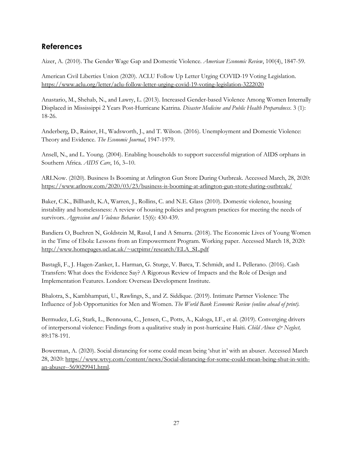## <span id="page-28-0"></span>**References**

Aizer, A. (2010). The Gender Wage Gap and Domestic Violence. *American Economic Review*, 100(4), 1847-59.

American Civil Liberties Union (2020). ACLU Follow Up Letter Urging COVID-19 Voting Legislation. <https://www.aclu.org/letter/aclu-follow-letter-urging-covid-19-voting-legislation-3222020>

Anastario, M., Shehab, N., and Lawry, L. (2013). Increased Gender-based Violence Among Women Internally Displaced in Mississippi 2 Years Post-Hurricane Katrina. *Disaster Medicine and Public Health Preparedness*. 3 (1): 18-26.

Anderberg, D., Rainer, H., Wadsworth, J., and T. Wilson. (2016). Unemployment and Domestic Violence: Theory and Evidence. *The Economic Journal*, 1947-1979.

Ansell, N., and L. Young. (2004). Enabling households to support successful migration of AIDS orphans in Southern Africa. *AIDS Care*, 16, 3–10.

ARLNow. (2020). Business Is Booming at Arlington Gun Store During Outbreak. Accessed March, 28, 2020: <https://www.arlnow.com/2020/03/23/business-is-booming-at-arlington-gun-store-during-outbreak/>

Baker, C.K., Billhardt, K.A, Warren, J., Rollins, C. and N.E. Glass (2010). Domestic violence, housing instability and homelessness: A review of housing policies and program practices for meeting the needs of survivors. *Aggression and Violence Behavior*. 15(6): 430-439.

Bandiera O, Buehren N, Goldstein M, Rasul, I and A Smurra. (2018). The Economic Lives of Young Women in the Time of Ebola: Lessons from an Empowerment Program. Working paper. Accessed March 18, 2020: [http://www.homepages.ucl.ac.uk/~uctpimr/research/ELA\\_SL.pdf](http://www.homepages.ucl.ac.uk/%7Euctpimr/research/ELA_SL.pdf)

Bastagli, F., J. Hagen-Zanker, L. Harman, G. Sturge, V. Barca, T. Schmidt, and L. Pellerano. (2016). Cash Transfers: What does the Evidence Say? A Rigorous Review of Impacts and the Role of Design and Implementation Features. London: Overseas Development Institute.

Bhalotra, S., Kambhampati, U., Rawlings, S., and Z. Siddique. (2019). Intimate Partner Violence: The Influence of Job Opportunities for Men and Women. *The World Bank Economic Review (online ahead of print).*

Bermudez, L.G, Stark, L., Bennouna, C., Jensen, C., Potts, A., Kaloga, I.F., et al. (2019). Converging drivers of interpersonal violence: Findings from a qualitative study in post-hurricaine Haiti. *Child Abuse & Neglect,* 89:178-191.

Bowerman, A. (2020). Social distancing for some could mean being 'shut in' with an abuser. Accessed March 28, 2020: [https://www.wtvy.com/content/news/Social-distancing-for-some-could-mean-being-shut-in-with](https://www.wtvy.com/content/news/Social-distancing-for-some-could-mean-being-shut-in-with-an-abuser--569029941.html)[an-abuser--569029941.html.](https://www.wtvy.com/content/news/Social-distancing-for-some-could-mean-being-shut-in-with-an-abuser--569029941.html)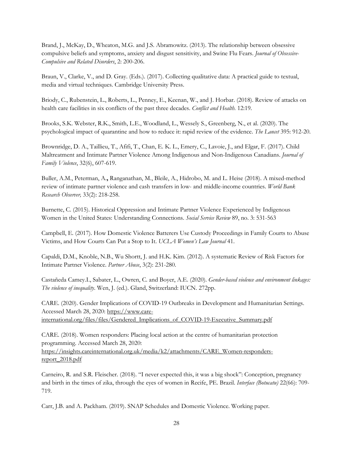Brand, J., McKay, D., Wheaton, M.G. and J.S. Abramowitz. (2013). The relationship between obsessive compulsive beliefs and symptoms, anxiety and disgust sensitivity, and Swine Flu Fears. *Journal of Obsessive-Compulsive and Related Disorders*, 2: 200-206.

Braun, V., Clarke, V., and D. Gray. (Eds.). (2017). Collecting qualitative data: A practical guide to textual, media and virtual techniques. Cambridge University Press.

Briody, C., Rubenstein, L., Roberts, L., Penney, E., Keenan, W., and J. Horbar. (2018). Review of attacks on health care facilities in six conflicts of the past three decades. *Conflict and Health*. 12:19.

Brooks, S.K. Webster, R.K., Smith, L.E., Woodland, L., Wessely S., Greenberg, N., et al. (2020). The psychological impact of quarantine and how to reduce it: rapid review of the evidence. *The Lancet* 395: 912-20.

Brownridge, D. A., Taillieu, T., Afifi, T., Chan, E. K. L., Emery, C., Lavoie, J., and Elgar, F. (2017). Child Maltreatment and Intimate Partner Violence Among Indigenous and Non-Indigenous Canadians. *Journal of Family Violence*, 32(6), 607-619.

Buller, A.M., Peterman, A.**,** Ranganathan, M., Bleile, A., Hidrobo, M. and L. Heise (2018). A mixed-method review of intimate partner violence and cash transfers in low- and middle-income countries. *World Bank Research Observer,* 33(2): 218-258.

Burnette, C. (2015). Historical Oppression and Intimate Partner Violence Experienced by Indigenous Women in the United States: Understanding Connections. *Social Service Review* 89, no. 3: 531-563

Campbell, E. (2017). How Domestic Violence Batterers Use Custody Proceedings in Family Courts to Abuse Victims, and How Courts Can Put a Stop to It. *UCLA Women's Law Journal* 41.

Capaldi, D.M., Knoble, N.B., Wu Shortt, J. and H.K. Kim. (2012). A systematic Review of Risk Factors for Intimate Partner Violence. *Partner Abuse*, 3(2): 231-280.

Castañeda Camey.I., Sabater, L., Owren, C. and Boyer, A.E. (2020). *Gender-based violence and environment linkages: The violence of inequality*. Wen, J. (ed.). Gland, Switzerland: IUCN. 272pp.

CARE. (2020). Gender Implications of COVID-19 Outbreaks in Development and Humanitarian Settings. Accessed March 28, 2020: [https://www.care](https://www.care-international.org/files/files/Gendered_Implications_of_COVID-19-Executive_Summary.pdf)[international.org/files/files/Gendered\\_Implications\\_of\\_COVID-19-Executive\\_Summary.pdf](https://www.care-international.org/files/files/Gendered_Implications_of_COVID-19-Executive_Summary.pdf)

CARE. (2018). Women responders: Placing local action at the centre of humanitarian protection programming. Accessed March 28, 2020: [https://insights.careinternational.org.uk/media/k2/attachments/CARE\\_Women-responders](https://insights.careinternational.org.uk/media/k2/attachments/CARE_Women-responders-report_2018.pdf)[report\\_2018.pdf](https://insights.careinternational.org.uk/media/k2/attachments/CARE_Women-responders-report_2018.pdf)

Carneiro, R. and S.R. Fleischer. (2018). "I never expected this, it was a big shock": Conception, pregnancy and birth in the times of zika, through the eyes of women in Recife, PE. Brazil. *Interface (Botucatu)* 22(66): 709- 719.

Carr, J.B. and A. Packham. (2019). SNAP Schedules and Domestic Violence. Working paper.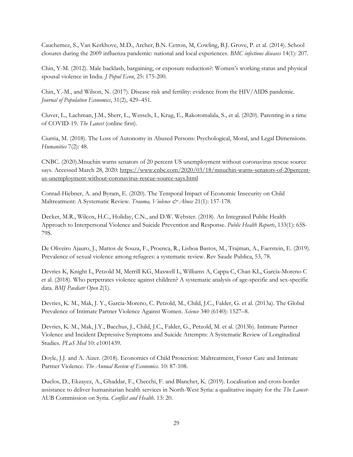Cauchemez, S., Van Kerkhove, M.D., Archer, B.N. Cetron, M, Cowling, B.J. Grove, P. et al. (2014). School closures during the 2009 influenza pandemic: national and local experiences. *BMC infectious diseases* 14(1): 207.

Chin, Y-M. (2012). Male backlash, bargaining, or exposure reduction?: Women's working status and physical spousal violence in India. *J Popul Econ*, 25: 175-200.

Chin, Y.-M., and Wilson, N. (2017). Disease risk and fertility: evidence from the HIV/AIDS pandemic. *Journal of Population Economics*, 31(2), 429–451.

Cluver, L., Lachman, J.M., Sherr, L., Wessels, I., Krug, E., Rakotomalala, S., et al. (2020). Parenting in a time of COVID-19. *The Lancet* (online first).

Ciurria, M. (2018). The Loss of Autonomy in Abused Persons: Psychological, Moral, and Legal Dimensions. *Humanities* 7(2): 48.

CNBC. (2020).Mnuchin warns senators of 20 percent US unemployment without coronavirus rescue source says. Accessed March 28, 2020: [https://www.cnbc.com/2020/03/18/mnuchin-warns-senators-of-20percent](https://www.cnbc.com/2020/03/18/mnuchin-warns-senators-of-20percent-us-unemployment-without-coronavirus-rescue-source-says.html)[us-unemployment-without-coronavirus-rescue-source-says.html](https://www.cnbc.com/2020/03/18/mnuchin-warns-senators-of-20percent-us-unemployment-without-coronavirus-rescue-source-says.html)

Conrad-Hiebner, A. and Byram, E. (2020). The Temporal Impact of Economic Insecurity on Child Maltreatment: A Systematic Review*. Trauma, Violence & Abuse* 21(1): 157-178.

Decker, M.R., Wilcox, H.C., Holiday, C.N., and D.W. Webster. (2018). An Integrated Public Health Approach to Interpersonal Violence and Suicide Prevention and Response. *Public Health Reports*, 133(1): 65S-79S.

De Oliveiro Ajauro, J., Mattos de Souza, F., Proenca, R., Lisboa Bastos, M., Trajman, A., Faerstein, E. (2019). Prevalence of sexual violence among refugees: a systematic review. Rev Saude Publica, 53, 78.

Devries K, Knight L, Petzold M, Merrill KG, Maxwell L, Williams A, Cappa C, Chan KL, Garcia-Moreno C et al. (2018). Who perpetrates violence against children? A systematic analysis of age-specific and sex-specific data. *BMJ Paediatr Open* 2(1).

Devries, K. M., Mak, J. Y., Garcia-Moreno, C. Petzold, M., Child, J.C., Falder, G. et al. (2013a). The Global Prevalence of Intimate Partner Violence Against Women. *Science* 340 (6140): 1527–8.

Devries, K. M., Mak, J.Y., Bacchus, J., Child, J.C., Falder, G., Petzold, M. et al. (2013b). Intimate Partner Violence and Incident Depressive Symptoms and Suicide Attempts: A Systematic Review of Longitudinal Studies. *PLoS Med* 10: e1001439.

Doyle, J.J. and A. Aizer. (2018). Economics of Child Protection: Maltreatment, Foster Care and Intimate Partner Violence. *The Annual Review of Economics*. 10: 87-108.

Duclos, D., Ekzayez, A., Ghaddar, F., Checchi, F. and Blanchet, K. (2019). Localisation and cross-border assistance to deliver humanitarian health services in North-West Syria: a qualitative inquiry for the *The Lancet*-AUB Commission on Syria. *Conflict and Health*. 13: 20.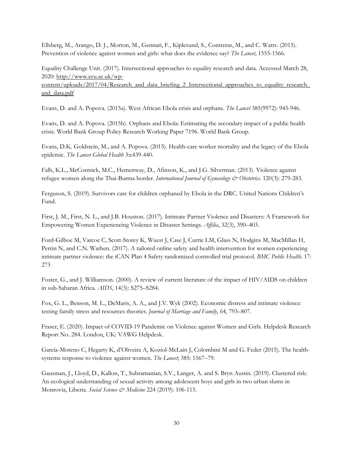Ellsberg, M., Arango, D. J., Morton, M., Gennari, F., Kiplesund, S., Contreras, M., and C. Watts. (2015). Prevention of violence against women and girls: what does the evidence say? *The Lancet*, 1555-1566.

Equality Challenge Unit. (2017). Intersectional approaches to equality research and data. Accessed March 28, 2020: [http://www.ecu.ac.uk/wp-](http://www.ecu.ac.uk/wp-content/uploads/2017/04/Research_and_data_briefing_2_Intersectional_approaches_to_equality_research_and_data.pdf)

[content/uploads/2017/04/Research\\_and\\_data\\_briefing\\_2\\_Intersectional\\_approaches\\_to\\_equality\\_research\\_](http://www.ecu.ac.uk/wp-content/uploads/2017/04/Research_and_data_briefing_2_Intersectional_approaches_to_equality_research_and_data.pdf) and data.pdf

Evans, D. and A. Popova. (2015a). West African Ebola crisis and orphans. *The Lancet* 385(9972): 945-946.

Evans, D. and A. Popova. (2015b). Orphans and Ebola: Estimating the secondary impact of a public health crisis. World Bank Group Policy Research Working Paper 7196. World Bank Group.

Evans, D.K. Goldstein, M., and A. Popova. (2015). Health-care worker mortality and the legacy of the Ebola epidemic. *The Lancet Global Health* 3:e439-440.

Falb, K.L., McCormick, M.C., Hemenway, D., Afinson, K., and J.G. Silverman. (2013). Violence against refugee women along the Thai-Burma border. *International Journal of Gynecology & Obstetrics*. 120(3): 279-283.

Ferguson, S. (2019). Survivors care for children orphaned by Ebola in the DRC. United Nations Children's Fund.

First, J. M., First, N. L., and J.B. Houston. (2017). Intimate Partner Violence and Disasters: A Framework for Empowering Women Experiencing Violence in Disaster Settings. *Affilia*, 32(3), 390–403.

Ford-Gilboe M, Varcoe C, Scott-Storey K, Wuest J, Case J, Currie LM, Glass N, Hodgins M, MacMillan H, Perrin N, and C.N. Wathen. (2017). A tailored online safety and health intervention for women experiencing intimate partner violence: the iCAN Plan 4 Safety randomized controlled trial protocol. *BMC Public Health*. 17: 273

Foster, G., and J. Williamson. (2000). A review of current literature of the impact of HIV/AIDS on children in sub-Saharan Africa. *AIDS*, 14(3): S275–S284.

Fox, G. L., Benson, M. L., DeMaris, A. A., and J.V. Wyk (2002). Economic distress and intimate violence: testing family stress and resources theories. *Journal of Marriage and Family*, 64, 793–807.

Fraser, E. (2020). Impact of COVID-19 Pandemic on Violence against Women and Girls. Helpdesk Research Report No. 284. London, UK: VAWG Helpdesk.

García-Moreno C, Hegarty K, d'Oliveira A, Koziol-McLain J, Colombini M and G. Feder (2015). The healthsystems response to violence against women. *The Lancet*; 385: 1567–79.

Gausman, J., Lloyd, D., Kallon, T., Subramanian, S.V., Langer, A. and S. Bryn Austin. (2019). Clustered risk: An ecological understanding of sexual activity among adolescent boys and girls in two urban slums in Monrovia, Liberia. *Social Science & Medicine* 224 (2019): 106-115.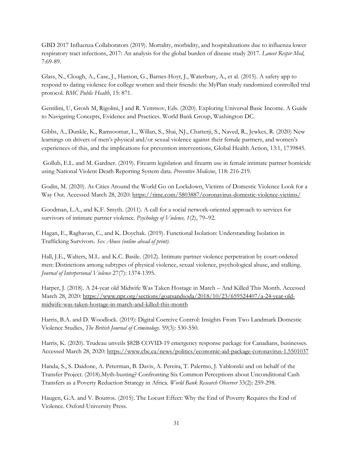GBD 2017 Influenza Collaborators (2019). Mortality, morbidity, and hospitalizations due to influenza lower respiratory tract infections, 2017: An analysis for the global burden of disease study 2017. *Lancet Respir Med*, 7:69-89.

Glass, N., Clough, A., Case, J., Hanson, G., Barnes-Hoyt, J., Waterbury, A., et al. (2015). A safety app to respond to dating violence for college women and their friends: the MyPlan study randomized controlled trial protocol. *BMC Public Health*, 15: 871.

Gentilini, U, Grosh M, Rigolini, J and R. Yemtsov, Eds. (2020). Exploring Universal Basic Income. A Guide to Navigating Concepts, Evidence and Practices. World Bank Group, Washington DC.

Gibbs, A., Dunkle, K., Ramsoomar, L., Willan, S., Shai, NJ., Chatterji, S., Naved, R., Jewkes, R. (2020) New learnings on drivers of men's physical and/or sexual violence against their female partners, and women's experiences of this, and the implications for prevention interventions, Global Health Action, 13:1, 1739845.

Gollub, E.L. and M. Gardner. (2019). Firearm legislation and firearm use in female intimate partner homicide using National Violent Death Reporting System data. *Preventive Medicine*, 118: 216-219.

Godin, M. (2020). As Cities Around the World Go on Lockdown, Victims of Domestic Violence Look for a Way Out. Accessed March 28, 2020:<https://time.com/5803887/coronavirus-domestic-violence-victims/>

Goodman, L.A., and K.F. Smyth. (2011). A call for a social network-oriented approach to services for survivors of intimate partner violence. *Psychology of Violence, 1*(2), 79–92.

Hagan, E., Raghavan, C., and K. Doychak. (2019). Functional Isolation: Understanding Isolation in Trafficking Survivors. *Sex Abuse (online ahead of print).*

Hall, J.E., Walters, M.L. and K.C. Basile. (2012). Intimate partner violence perpetration by court-ordered men: Distinctions among subtypes of physical violence, sexual violence, psychological abuse, and stalking. *Journal of Interpersonal Violence* 27(7): 1374-1395.

Harper, J. (2018). A 24-year old Midwife Was Taken Hostage in March – And Killed This Month. Accessed March 28, 2020: [https://www.npr.org/sections/goatsandsoda/2018/10/23/659524407/a-24-year-old](https://www.npr.org/sections/goatsandsoda/2018/10/23/659524407/a-24-year-old-midwife-was-taken-hostage-in-march-and-killed-this-month)[midwife-was-taken-hostage-in-march-and-killed-this-month](https://www.npr.org/sections/goatsandsoda/2018/10/23/659524407/a-24-year-old-midwife-was-taken-hostage-in-march-and-killed-this-month)

Harris, B.A. and D. Woodlock. (2019): Digital Coercive Control: Insights From Two Landmark Domestic Violence Studies, *The British Journal of Criminology*. 59(3): 530-550.

Harris, K. (2020). Trudeau unveils \$82B COVID-19 emergency response package for Canadians, businesses. Accessed March 28, 2020: <https://www.cbc.ca/news/politics/economic-aid-package-coronavirus-1.5501037>

Handa, S., S. Daidone, A. Peterman, B. Davis, A. Pereira, T. Palermo, J. Yablonski and on behalf of the Transfer Project. (2018).Myth-busting? Confronting Six Common Perceptions about Unconditional Cash Transfers as a Poverty Reduction Strategy in Africa. *World Bank Research Observer* 33(2): 259-298.

Haugen, G.A. and V. Boutros. (2015). The Locust Effect: Why the End of Poverty Requires the End of Violence. Oxford University Press.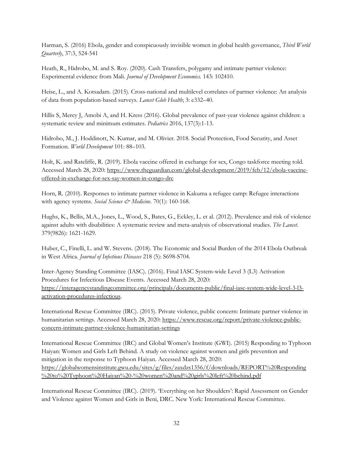Harman, S. (2016) Ebola, gender and conspicuously invisible women in global health governance, *Third World Quarterly*, 37:3, 524-541

Heath, R., Hidrobo, M. and S. Roy. (2020). Cash Transfers, polygamy and intimate partner violence: Experimental evidence from Mali. *Journal of Development Economics.* 143: 102410.

Heise, L., and A. Kotsadam. (2015). Cross-national and multilevel correlates of partner violence: An analysis of data from population-based surveys. *Lancet Glob Health*; 3: e332–40.

Hillis S, Mercy J, Amobi A, and H. Kress (2016). Global prevalence of past-year violence against children: a systematic review and minimum estimates. *Pediatrics* 2016, 137(3):1-13.

Hidrobo, M., J. Hoddinott, N. Kumar, and M. Olivier. 2018. Social Protection, Food Security, and Asset Formation. *World Development* 101: 88–103.

Holt, K. and Ratcliffe, R. (2019). Ebola vaccine offered in exchange for sex, Congo taskforce meeting told. Accessed March 28, 2020: [https://www.theguardian.com/global-development/2019/feb/12/ebola-vaccine](https://www.theguardian.com/global-development/2019/feb/12/ebola-vaccine-offered-in-exchange-for-sex-say-women-in-congo-drc)[offered-in-exchange-for-sex-say-women-in-congo-drc](https://www.theguardian.com/global-development/2019/feb/12/ebola-vaccine-offered-in-exchange-for-sex-say-women-in-congo-drc)

Horn, R. (2010). Responses to intimate partner violence in Kakuma a refugee camp: Refugee interactions with agency systems. *Social Science & Medicine*. 70(1): 160-168.

Hughs, K., Bellis, M.A., Jones, L., Wood, S., Bates, G., Eckley, L. et al. (2012). Prevalence and risk of violence against adults with disabilities: A systematic review and meta-analysis of observational studies. *The Lancet*. 379(9826): 1621-1629.

Huber, C., Finelli, L. and W. Stevens. (2018). The Economic and Social Burden of the 2014 Ebola Outbreak in West Africa. *Journal of Infectious Diseases* 218 (5): S698-S704.

Inter-Agency Standing Committee (IASC). (2016). Final IASC System-wide Level 3 (L3) Activation Procedures for Infectious Disease Events. Accessed March 28, 2020: [https://interagencystandingcommittee.org/principals/documents-public/final-iasc-system-wide-level-3-l3](https://interagencystandingcommittee.org/principals/documents-public/final-iasc-system-wide-level-3-l3-activation-procedures-infectious) [activation-procedures-infectious.](https://interagencystandingcommittee.org/principals/documents-public/final-iasc-system-wide-level-3-l3-activation-procedures-infectious)

International Rescue Committee (IRC). (2015). Private violence, public concern: Intimate partner violence in humanitarian settings. Accessed March 28, 2020: [https://www.rescue.org/report/private-violence-public](https://www.rescue.org/report/private-violence-public-concern-intimate-partner-violence-humanitarian-settings)[concern-intimate-partner-violence-humanitarian-settings](https://www.rescue.org/report/private-violence-public-concern-intimate-partner-violence-humanitarian-settings)

International Rescue Committee (IRC) and Global Women's Institute (GWI). (2015) Responding to Typhoon Haiyan: Women and Girls Left Behind. A study on violence against women and girls prevention and mitigation in the response to Typhoon Haiyan. Accessed March 28, 2020: [https://globalwomensinstitute.gwu.edu/sites/g/files/zaxdzs1356/f/downloads/REPORT%20Responding](https://globalwomensinstitute.gwu.edu/sites/g/files/zaxdzs1356/f/downloads/REPORT%20Responding%20to%20Typhoon%20Haiyan%20-%20women%20and%20girls%20left%20behind.pdf) [%20to%20Typhoon%20Haiyan%20-%20women%20and%20girls%20left%20behind.pdf](https://globalwomensinstitute.gwu.edu/sites/g/files/zaxdzs1356/f/downloads/REPORT%20Responding%20to%20Typhoon%20Haiyan%20-%20women%20and%20girls%20left%20behind.pdf)

International Rescue Committee (IRC). (2019). 'Everything on her Shoulders': Rapid Assessment on Gender and Violence against Women and Girls in Beni, DRC. New York: International Rescue Committee.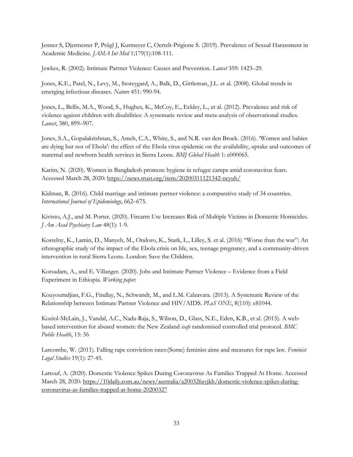Jenner S, Djermester P, Prügl J, Kurmeyer C, Oertelt-Prigione S. (2019). Prevalence of Sexual Harassment in Academic Medicine. *JAMA Int Med* 1;179(1):108-111.

Jewkes, R. (2002). Intimate Partner Violence: Causes and Prevention. *Lancet* 359: 1423–29.

Jones, K.E., Patel, N., Levy, M., Storeygard, A., Balk, D., Gittleman, J.L. et al. (2008). Global trends in emerging infectious diseases. *Nature* 451: 990-94.

Jones, L., Bellis, M.A., Wood, S., Hughes, K., McCoy, E., Eckley, L., et al. (2012). Prevalence and risk of violence against children with disabilities: A systematic review and meta-analysis of observational studies*. Lancet*, 380, 899–907.

Jones, S.A., Gopalakrishnan, S., Ameh, C.A., White, S., and N.R. van den Broek. (2016). 'Women and babies are dying but not of Ebola': the effect of the Ebola virus epidemic on the availability, uptake and outcomes of maternal and newborn health services in Sierra Leone. *BMJ Global Health* 1: e000065.

Karim, N. (2020). Women in Bangladesh promote hygiene in refugee camps amid coronavirus fears. Accessed March 28, 2020:<https://news.trust.org/item/20200311121342-ncyuh/>

Kidman, R. (2016). Child marriage and intimate partner violence: a comparative study of 34 countries. *International Journal of Epidemiology*, 662–675.

Kivisto, A.J., and M. Porter. (2020). Firearm Use Increases Risk of Multiple Victims in Domestic Homicides. *J Am Acad Psychiatry Law* 48(1): 1-9.

Kostelny, K., Lamin, D., Manyeh, M., Ondoro, K., Stark, L., Lilley, S. et al. (2016) "Worse than the war": An ethnographic study of the impact of the Ebola crisis on life, sex, teenage pregnancy, and a community-driven intervention in rural Sierra Leone. London: Save the Children.

Kotsadam, A., and E. Villanger. (2020). Jobs and Intimate Partner Violence – Evidence from a Field Experiment in Ethiopia. *Working paper.*

Kouyoumdjian, F.G., Findlay, N., Schwandt, M., and L.M. Calzavara. (2013). A Systematic Review of the Relationship between Intimate Partner Violence and HIV/AIDS. *PLoS ONE*, 8(110): e81044.

Koziol-McLain, J., Vandal, A.C., Nada-Raja, S., Wilson, D., Glass, N.E., Eden, K.B., et al. (2015). A webbased intervention for abused women: the New Zealand *isafe* randomised controlled trial protocol. *BMC Public Health*, 15: 56

Larcombe, W. (2011). Falling rape conviction rates:(Some) feminist aims and measures for rape law. *Feminist Legal Studies* 19(1): 27-45.

Lattouf, A. (2020). Domestic Violence Spikes During Coronavirus As Families Trapped At Home. Accessed March 28, 2020: [https://10daily.com.au/news/australia/a200326zyjkh/domestic-violence-spikes-during](https://10daily.com.au/news/australia/a200326zyjkh/domestic-violence-spikes-during-coronavirus-as-families-trapped-at-home-20200327)[coronavirus-as-families-trapped-at-home-20200327](https://10daily.com.au/news/australia/a200326zyjkh/domestic-violence-spikes-during-coronavirus-as-families-trapped-at-home-20200327)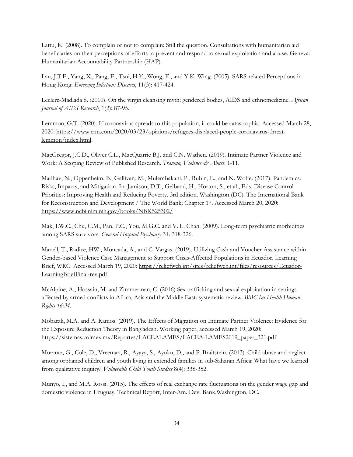Lattu, K. (2008). To complain or not to complain: Still the question. Consultations with humanitarian aid beneficiaries on their perceptions of efforts to prevent and respond to sexual exploitation and abuse. Geneva: Humanitarian Accountability Partnership (HAP).

Lau, J.T.F., Yang, X., Pang, E., Tsui, H.Y., Wong, E., and Y.K. Wing. (2005). SARS-related Perceptions in Hong Kong. *Emerging Infectious Diseases*, 11(3): 417-424.

Leclerc-Madlada S. (2010). On the virgin cleansing myth: gendered bodies, AIDS and ethnomedicine. *African Journal of AIDS Research*, 1(2): 87-95.

Lemmon, G.T. (2020). If coronavirus spreads to this population, it could be catastrophic. Accessed March 28, 2020: [https://www.cnn.com/2020/03/23/opinions/refugees-displaced-people-coronavirus-threat](https://www.cnn.com/2020/03/23/opinions/refugees-displaced-people-coronavirus-threat-lemmon/index.html)[lemmon/index.html.](https://www.cnn.com/2020/03/23/opinions/refugees-displaced-people-coronavirus-threat-lemmon/index.html)

MacGregor, J.C.D., Oliver C.L., MacQuarrie B.J. and C.N. Wathen. (2019). Intimate Partner Violence and Work: A Scoping Review of Published Research. *Trauma, Violence & Abuse*: 1-11.

Madhav, N., Oppenheim, B., Gallivan, M., Mulembakani, P., Rubin, E., and N. Wolfe. (2017). Pandemics: Risks, Impacts, and Mitigation. In: Jamison, D.T., Gelband, H., Horton, S., et al., Eds. Disease Control Priorities: Improving Health and Reducing Poverty. 3rd edition. Washington (DC): The International Bank for Reconstruction and Development / The World Bank; Chapter 17. Accessed March 20, 2020: <https://www.ncbi.nlm.nih.gov/books/NBK525302/>

Mak, I.W.C., Chu, C.M., Pan, P.C., You, M.G.C. and V. L. Chan. (2009). Long-term psychiatric morbidities among SARS survivors. *General Hospital Psychiatry* 31: 318-326.

Manell, T., Radice, HW., Moncada, A., and C. Vargas. (2019). Utilizing Cash and Voucher Assistance within Gender-based Violence Case Management to Support Crisis-Affected Populations in Ecuador. Learning Brief, WRC. Accessed March 19, 2020: [https://reliefweb.int/sites/reliefweb.int/files/resources/Ecuador-](https://reliefweb.int/sites/reliefweb.int/files/resources/Ecuador-LearningBriefFinal-rev.pdf)[LearningBriefFinal-rev.pdf](https://reliefweb.int/sites/reliefweb.int/files/resources/Ecuador-LearningBriefFinal-rev.pdf)

McAlpine, A., Hossain, M. and Zimmerman, C. (2016) Sex trafficking and sexual exploitation in settings affected by armed conflicts in Africa, Asia and the Middle East: systematic review. *BMC Int Health Human Rights 16:34.* 

Mobarak, M.A. and A. Ramos. (2019). The Effects of Migration on Intimate Partner Violence: Evidence for the Exposure Reduction Theory in Bangladesh. Working paper, accessed March 19, 2020: [https://sistemas.colmex.mx/Reportes/LACEALAMES/LACEA-LAMES2019\\_paper\\_321.pdf](https://sistemas.colmex.mx/Reportes/LACEALAMES/LACEA-LAMES2019_paper_321.pdf)

Morantz, G., Cole, D., Vreeman, R., Ayaya, S., Ayuku, D., and P. Braitstein. (2013). Child abuse and neglect among orphaned children and youth living in extended families in sub-Saharan Africa: What have we learned from qualitative inquiry? *Vulnerable Child Youth Studies* 8(4): 338-352.

Munyo, I., and M.A. Rossi. (2015). The effects of real exchange rate fluctuations on the gender wage gap and domestic violence in Uruguay. Technical Report, Inter-Am. Dev. Bank,Washington, DC.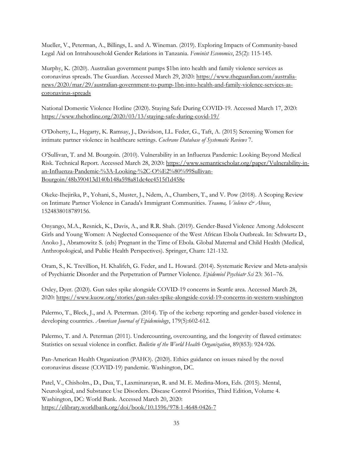Mueller, V., Peterman, A., Billings, L. and A. Wineman. (2019). Exploring Impacts of Community-based Legal Aid on Intrahousehold Gender Relations in Tanzania. *Feminist Economics*, 25(2): 115-145.

Murphy, K. (2020). Australian government pumps \$1bn into health and family violence services as coronavirus spreads. The Guardian. Accessed March 29, 2020: [https://www.theguardian.com/australia](https://www.theguardian.com/australia-news/2020/mar/29/australian-government-to-pump-1bn-into-health-and-family-violence-services-as-coronavirus-spreads)[news/2020/mar/29/australian-government-to-pump-1bn-into-health-and-family-violence-services-as](https://www.theguardian.com/australia-news/2020/mar/29/australian-government-to-pump-1bn-into-health-and-family-violence-services-as-coronavirus-spreads)[coronavirus-spreads](https://www.theguardian.com/australia-news/2020/mar/29/australian-government-to-pump-1bn-into-health-and-family-violence-services-as-coronavirus-spreads) 

National Domestic Violence Hotline (2020). Staying Safe During COVID-19. Accessed March 17, 2020: <https://www.thehotline.org/2020/03/13/staying-safe-during-covid-19/>

O'Doherty, L., Hegarty, K. Ramsay, J., Davidson, LL. Feder, G., Taft, A. (2015) Screening Women for intimate partner violence in healthcare settings. *Cochrane Database of Systematic Reviews* 7.

O'Sullivan, T. and M. Bourgoin. (2010). Vulnerability in an Influenza Pandemic: Looking Beyond Medical Risk*.* Technical Report. Accessed March 28, 2020: [https://www.semanticscholar.org/paper/Vulnerability-in](https://www.semanticscholar.org/paper/Vulnerability-in-an-Influenza-Pandemic-%3A-Looking-%2C-O%E2%80%99Sullivan-Bourgoin/48b390413d140b148a598a81dc4ec4515f1d458e)[an-Influenza-Pandemic-%3A-Looking-%2C-O%E2%80%99Sullivan-](https://www.semanticscholar.org/paper/Vulnerability-in-an-Influenza-Pandemic-%3A-Looking-%2C-O%E2%80%99Sullivan-Bourgoin/48b390413d140b148a598a81dc4ec4515f1d458e)[Bourgoin/48b390413d140b148a598a81dc4ec4515f1d458e](https://www.semanticscholar.org/paper/Vulnerability-in-an-Influenza-Pandemic-%3A-Looking-%2C-O%E2%80%99Sullivan-Bourgoin/48b390413d140b148a598a81dc4ec4515f1d458e)

Okeke-Ihejirika, P., Yohani, S., Muster, J., Ndem, A., Chambers, T., and V. Pow (2018). A Scoping Review on Intimate Partner Violence in Canada's Immigrant Communities. *Trauma, Violence & Abuse*, 1524838018789156.

Onyango, M.A., Resnick, K., Davis, A., and R.R. Shah. (2019). Gender-Based Violence Among Adolescent Girls and Young Women: A Neglected Consequence of the West African Ebola Outbreak. In: Schwartz D., Anoko J., Abramowitz S. (eds) Pregnant in the Time of Ebola. Global Maternal and Child Health (Medical, Anthropological, and Public Health Perspectives). Springer, Cham: 121-132.

Oram, S., K. Trevillion, H. Khalifeh, G. Feder, and L. Howard. (2014). Systematic Review and Meta-analysis of Psychiatric Disorder and the Perpetration of Partner Violence. *Epidemiol Psychiatr Sci* 23: 361–76.

Oxley, Dyer. (2020). Gun sales spike alongside COVID-19 concerns in Seattle area. Accessed March 28, 2020:<https://www.kuow.org/stories/gun-sales-spike-alongside-covid-19-concerns-in-western-washington>

Palermo, T., Bleck, J., and A. Peterman. (2014). Tip of the iceberg: reporting and gender-based violence in developing countries. *American Journal of Epidemiology*, 179(5):602-612.

Palermo, T. and A. Peterman (2011). Undercounting, overcounting, and the longevity of flawed estimates: Statistics on sexual violence in conflict. *Bulletin of the World Health Organization*, 89(853): 924-926.

Pan-American Health Organization (PAHO). (2020). Ethics guidance on issues raised by the novel coronavirus disease (COVID-19) pandemic. Washington, DC.

Patel, V., Chisholm., D., Dua, T., Laxminarayan, R. and M. E. Medina-Mora, Eds. (2015). Mental, Neurological, and Substance Use Disorders. Disease Control Priorities, Third Edition, Volume 4. Washington, DC: World Bank. Accessed March 20, 2020: <https://elibrary.worldbank.org/doi/book/10.1596/978-1-4648-0426-7>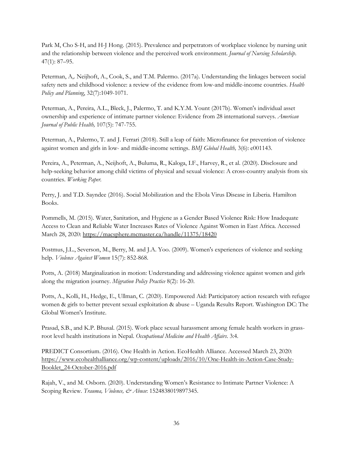Park M, Cho S-H, and H-J Hong. (2015). Prevalence and perpetrators of workplace violence by nursing unit and the relationship between violence and the perceived work environment. *Journal of Nursing Scholarship*. 47(1): 87–95.

Peterman, A,. Neijhoft, A., Cook, S., and T.M. Palermo. (2017a). Understanding the linkages between social safety nets and childhood violence: a review of the evidence from low-and middle-income countries. *Health Policy and Planning*, 32(7):1049-1071.

Peterman, A., Pereira, A.L., Bleck, J., Palermo, T. and K.Y.M. Yount (2017b). Women's individual asset ownership and experience of intimate partner violence: Evidence from 28 international surveys. *American Journal of Public Health,* 107(5): 747-755.

Peterman, A., Palermo, T. and J. Ferrari (2018). Still a leap of faith: Microfinance for prevention of violence against women and girls in low- and middle-income settings. *BMJ Global Health,* 3(6): e001143.

Pereira, A., Peterman, A., Neijhoft, A., Buluma, R., Kaloga, I.F., Harvey, R., et al. (2020). Disclosure and help-seeking behavior among child victims of physical and sexual violence: A cross-country analysis from six countries. *Working Paper.*

Perry, J. and T.D. Sayndee (2016). Social Mobilization and the Ebola Virus Disease in Liberia. Hamilton Books.

Pommells, M. (2015). Water, Sanitation, and Hygiene as a Gender Based Violence Risk: How Inadequate Access to Clean and Reliable Water Increases Rates of Violence Against Women in East Africa. Accessed March 28, 2020:<https://macsphere.mcmaster.ca/handle/11375/18420>

Postmus, J.L., Severson, M., Berry, M. and J.A. Yoo. (2009). Women's experiences of violence and seeking help. *Violence Against Women* 15(7): 852-868.

Potts, A. (2018) Marginalization in motion: Understanding and addressing violence against women and girls along the migration journey. *Migration Policy Practice* 8(2): 16-20.

Potts, A., Kolli, H., Hedge, E., Ullman, C. (2020). Empowered Aid: Participatory action research with refugee women & girls to better prevent sexual exploitation & abuse – Uganda Results Report. Washington DC: The Global Women's Institute.

Prasad, S.B., and K.P. Bhusal. (2015). Work place sexual harassment among female health workers in grassroot level health institutions in Nepal. *Occupational Medicine and Health Affairs*. 3:4.

PREDICT Consortium. (2016). One Health in Action. EcoHealth Alliance. Accessed March 23, 2020: [https://www.ecohealthalliance.org/wp-content/uploads/2016/10/One-Health-in-Action-Case-Study-](https://www.ecohealthalliance.org/wp-content/uploads/2016/10/One-Health-in-Action-Case-Study-Booklet_24-October-2016.pdf)[Booklet\\_24-October-2016.pdf](https://www.ecohealthalliance.org/wp-content/uploads/2016/10/One-Health-in-Action-Case-Study-Booklet_24-October-2016.pdf)

Rajah, V., and M. Osborn. (2020). Understanding Women's Resistance to Intimate Partner Violence: A Scoping Review. *Trauma, Violence, & Abuse*: 1524838019897345.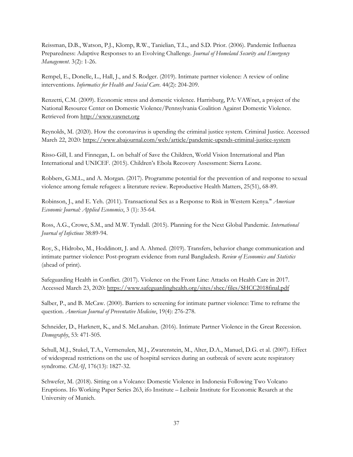Reissman, D.B., Watson, P.J., Klomp, R.W., Tanielian, T.L., and S.D. Prior. (2006). Pandemic Influenza Preparedness: Adaptive Responses to an Evolving Challenge. *Journal of Homeland Security and Emergency Management*. 3(2): 1-26.

Rempel, E., Donelle, L., Hall, J., and S. Rodger. (2019). Intimate partner violence: A review of online interventions. *Informatics for Health and Social Care*. 44(2): 204-209.

Renzetti, C.M. (2009). Economic stress and domestic violence. Harrisburg, PA: VAWnet, a project of the National Resource Center on Domestic Violence/Pennsylvania Coalition Against Domestic Violence. Retrieved from [http://www.vawnet.org](http://www.vawnet.org/)

Reynolds, M. (2020). How the coronavirus is upending the criminal justice system. Criminal Justice. Accessed March 22, 2020:<https://www.abajournal.com/web/article/pandemic-upends-criminal-justice-system>

Risso-Gill, I. and Finnegan, L. on behalf of Save the Children, World Vision International and Plan International and UNICEF. (2015). Children's Ebola Recovery Assessment: Sierra Leone.

Robbers, G.M.L., and A. Morgan. (2017). Programme potential for the prevention of and response to sexual violence among female refugees: a literature review. Reproductive Health Matters, 25(51), 68-89.

Robinson, J., and E. Yeh. (2011). Transactional Sex as a Response to Risk in Western Kenya." *American Economic Journal: Applied Economics*, 3 (1): 35-64.

Ross, A.G., Crowe, S.M., and M.W. Tyndall. (2015). Planning for the Next Global Pandemic. *International Journal of Infectious* 38:89-94.

Roy, S., Hidrobo, M., Hoddinott, J. and A. Ahmed. (2019). Transfers, behavior change communication and intimate partner violence: Post-program evidence from rural Bangladesh. *Review of Economics and Statistics* (ahead of print).

Safeguarding Health in Conflict. (2017). Violence on the Front Line: Attacks on Health Care in 2017. Accessed March 23, 2020:<https://www.safeguardinghealth.org/sites/shcc/files/SHCC2018final.pdf>

Salber, P., and B. McCaw. (2000). Barriers to screening for intimate partner violence: Time to reframe the question. *American Journal of Preventative Medicine*, 19(4): 276-278.

Schneider, D., Harknett, K., and S. McLanahan. (2016). Intimate Partner Violence in the Great Recession. *Demography*, 53: 471-505.

Schull, M.J., Stukel, T.A., Vermenulen, M.J., Zwarenstein, M., Alter, D.A., Manuel, D.G. et al. (2007). Effect of widespread restrictions on the use of hospital services during an outbreak of severe acute respiratory syndrome. *CMAJ*, 176(13): 1827-32.

Schwefer, M. (2018). Sitting on a Volcano: Domestic Violence in Indonesia Following Two Volcano Eruptions. Ifo Working Paper Series 263, ifo Institute – Leibniz Institute for Economic Resarch at the University of Munich.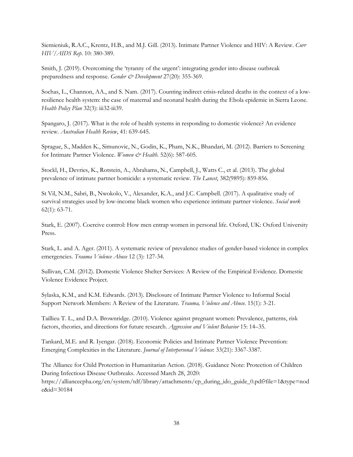Siemieniuk, R.A.C., Krentz, H.B., and M.J. Gill. (2013). Intimate Partner Violence and HIV: A Review. *Curr HIV/AIDS Rep*. 10: 380-389.

Smith, J. (2019). Overcoming the 'tyranny of the urgent': integrating gender into disease outbreak preparedness and response. *Gender & Development* 27(20): 355-369.

Sochas, L., Channon, AA., and S. Nam. (2017). Counting indirect crisis-related deaths in the context of a lowresilience health system: the case of maternal and neonatal health during the Ebola epidemic in Sierra Leone. *Health Policy Plan* 32(3): iii32-iii39.

Spangaro, J. (2017). What is the role of health systems in responding to domestic violence? An evidence review. *Australian Health Review*, 41: 639-645.

Sprague, S., Madden K., Simunovic, N., Godin, K., Pham, N.K., Bhandari, M. (2012). Barriers to Screening for Intimate Partner Violence. *Women & Health*. 52(6): 587-605.

Stockl, H., Devries, K., Rotstein, A., Abrahams, N., Campbell, J., Watts C., et al. (2013). The global prevalence of intimate partner homicide: a systematic review. *The Lancet*, 382(9895): 859-856.

St Vil, N.M., Sabri, B., Nwokolo, V., Alexander, K.A., and J.C. Campbell. (2017). A qualitative study of survival strategies used by low-income black women who experience intimate partner violence. *Social work* 62(1): 63-71.

Stark, E. (2007). Coercive control: How men entrap women in personal life. Oxford, UK: Oxford University Press.

Stark, L. and A. Ager. (2011). A systematic review of prevalence studies of gender-based violence in complex emergencies. *Trauma Violence Abuse* 12 (3): 127-34.

Sullivan, C.M. (2012). Domestic Violence Shelter Services: A Review of the Empirical Evidence. Domestic Violence Evidence Project.

Sylaska, K.M., and K.M. Edwards. (2013). Disclosure of Intimate Partner Violence to Informal Social Support Network Members: A Review of the Literature*. Trauma, Violence and Abuse.* 15(1): 3-21.

Taillieu T. L., and D.A. Brownridge. (2010). Violence against pregnant women: Prevalence, patterns, risk factors, theories, and directions for future research. *Aggression and Violent Behavior* 15: 14–35.

Tankard, M.E. and R. Iyengar. (2018). Economic Policies and Intimate Partner Violence Prevention: Emerging Complexities in the Literature. *Journal of Interpersonal Violence*: 33(21): 3367-3387.

The Alliance for Child Protection in Humanitarian Action. (2018). Guidance Note: Protection of Children During Infectious Disease Outbreaks. Accessed March 28, 2020: https://alliancecpha.org/en/system/tdf/library/attachments/cp\_during\_ido\_guide\_0.pdf?file=1&type=nod e&id=30184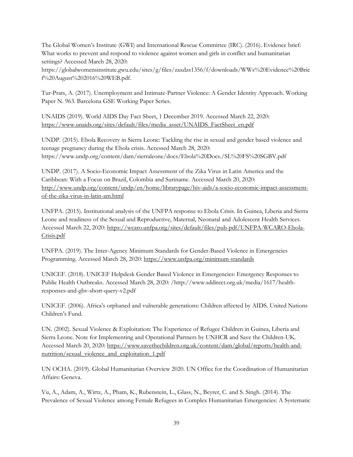The Global Women's Institute (GWI) and International Rescue Committee (IRC). (2016). Evidence brief: What works to prevent and respond to violence against women and girls in conflict and humanitarian settings? Accessed March 28, 2020:

https://globalwomensinstitute.gwu.edu/sites/g/files/zaxdzs1356/f/downloads/WWs%20Evidence%20Brie f%20August%202016%20WEB.pdf.

Tur-Prats, A. (2017). Unemployment and Intimate-Partner Violence: A Gender Identity Approach. Working Paper N. 963. Barcelona GSE Working Paper Series.

UNAIDS (2019). World AIDS Day Fact Sheet, 1 December 2019. Accessed March 22, 2020: [https://www.unaids.org/sites/default/files/media\\_asset/UNAIDS\\_FactSheet\\_en.pdf](https://www.unaids.org/sites/default/files/media_asset/UNAIDS_FactSheet_en.pdf)

UNDP. (2015). Ebola Recovery in Sierra Leone: Tackling the rise in sexual and gender based violence and teenage pregnancy during the Ebola crisis. Accessed March 28, 2020: https://www.undp.org/content/dam/sierraleone/docs/Ebola%20Docs./SL%20FS%20SGBV.pdf

UNDP. (2017). A Socio-Economic Impact Assessment of the Zika Virus in Latin America and the Caribbean: With a Focus on Brazil, Colombia and Suriname. Accessed March 20, 2020: [http://www.undp.org/content/undp/en/home/librarypage/hiv-aids/a-socio-economic-impact-assessment](http://www.undp.org/content/undp/en/home/librarypage/hiv-aids/a-socio-economic-impact-assessment-of-the-zika-virus-in-latin-am.html)[of-the-zika-virus-in-latin-am.html](http://www.undp.org/content/undp/en/home/librarypage/hiv-aids/a-socio-economic-impact-assessment-of-the-zika-virus-in-latin-am.html)

UNFPA. (2015). Institutional analysis of the UNFPA response to Ebola Crisis. In Guinea, Liberia and Sierra Leone and readiness of the Sexual and Reproductive, Maternal, Neonatal and Adolescent Health Services. Accessed March 22, 2020: [https://wcaro.unfpa.org/sites/default/files/pub-pdf/UNFPA-WCARO-Ebola-](https://wcaro.unfpa.org/sites/default/files/pub-pdf/UNFPA-WCARO-Ebola-Crisis.pdf)[Crisis.pdf](https://wcaro.unfpa.org/sites/default/files/pub-pdf/UNFPA-WCARO-Ebola-Crisis.pdf)

UNFPA. (2019). The Inter-Agency Minimum Standards for Gender-Based Violence in Emergencies Programming. Accessed March 28, 2020:<https://www.unfpa.org/minimum-standards>

UNICEF. (2018). UNICEF Helpdesk Gender Based Violence in Emergencies: Emergency Responses to Public Health Outbreaks. Accessed March 28, 2020: /http://www.sddirect.org.uk/media/1617/healthresponses-and-gbv-short-query-v2.pdf

UNICEF. (2006). Africa's orphaned and vulnerable generations: Children affected by AIDS. United Nations Children's Fund.

UN. (2002). Sexual Violence & Exploitation: The Experience of Refugee Children in Guinea, Liberia and Sierra Leone. Note for Implementing and Operational Partners by UNHCR and Save the Children-UK. Accessed March 20, 2020: [https://www.savethechildren.org.uk/content/dam/global/reports/health-and](https://www.savethechildren.org.uk/content/dam/global/reports/health-and-nutrition/sexual_violence_and_exploitation_1.pdf)[nutrition/sexual\\_violence\\_and\\_exploitation\\_1.pdf](https://www.savethechildren.org.uk/content/dam/global/reports/health-and-nutrition/sexual_violence_and_exploitation_1.pdf)

UN OCHA. (2019). Global Humanitarian Overview 2020. UN Office for the Coordination of Humanitarian Affairs: Geneva.

Vu, A., Adam, A., Wirtz, A., Pham, K., Rubenstein, L., Glass, N., Beyrer, C. and S. Singh. (2014). The Prevalence of Sexual Violence among Female Refugees in Complex Humanitarian Emergencies: A Systematic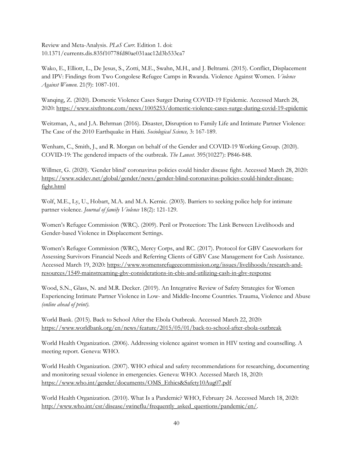Review and Meta-Analysis. *PLoS Curr*. Edition 1. doi: 10.1371/currents.dis.835f10778fd80ae031aac12d3b533ca7

Wako, E., Elliott, L., De Jesus, S., Zotti, M.E., Swahn, M.H., and J. Beltrami. (2015). Conflict, Displacement and IPV: Findings from Two Congolese Refugee Camps in Rwanda. Violence Against Women. *Violence Against Women.* 21(9): 1087-101.

Wanqing, Z. (2020). Domestic Violence Cases Surger During COVID-19 Epidemic. Accessed March 28, 2020:<https://www.sixthtone.com/news/1005253/domestic-violence-cases-surge-during-covid-19-epidemic>

Weitzman, A., and J.A. Behrman (2016). Disaster, Disruption to Family Life and Intimate Partner Violence: The Case of the 2010 Earthquake in Haiti. *Sociological Science,* 3: 167-189.

Wenham, C., Smith, J., and R. Morgan on behalf of the Gender and COVID-19 Working Group. (2020). COVID-19: The gendered impacts of the outbreak. *The Lancet*. 395(10227): P846-848.

Willmer, G. (2020). 'Gender blind' coronavirus policies could hinder disease fight. Accessed March 28, 2020: [https://www.scidev.net/global/gender/news/gender-blind-coronavirus-policies-could-hinder-disease](https://www.scidev.net/global/gender/news/gender-blind-coronavirus-policies-could-hinder-disease-fight.html?utm_source=IGWG&utm_campaign=c0a486cdd2-EMAIL_CAMPAIGN_2020_03_24_02_34&utm_medium=email&utm_term=0_a24996ea0a-c0a486cdd2-60889735&__cf_chl_jschl_tk__=2c80b248b942a9df90512544522f7e9f2b411770-1585103324-0-AX36re0xg_H8NKqU92okWITKqBbqdlZhfESOapZjz_ANCycYWSvTrSNWw9jlM-b42bFj-9LMDc-M-tbMu4M3r_ePl7hfP1_ZgEJ9MfX4rKZheiITPgRPHqJ_rjOiAOtCgTvK2tSgFzuk7t0LEAb72K3irLTdrI19-aX0UEQmYfv2qzCOHBFtTEEZYcaKz_ULY77QKkhBjyCrPovqesoF6BMkE3QVsOp8arOR5E9veqvun75t-UfIJcq2Pyt7CrK5m1ehMsGBOq09eb09erneDFXBYlisto0MSH9Ilp9qEzjbbqncPbpCsVgBNXoLDEDXX8-x8RyEZzQMwVLdn1-f28tFuyFoCDhZ6jSDUk0LeSweuGaj-12frbuud9vZM3qjfSF92xHWVIusnSLW16fVmdhf2N4j41JT-LggLy-DF1AdJfIvr92qLmlk2mefaM_o52EeVSQeRBvFH9DuNuSMQ-https://www.scidev.net/global/gender/news/gender-blind-coronavirus-policies-could-hinder-disease-fight.html)[fight.html](https://www.scidev.net/global/gender/news/gender-blind-coronavirus-policies-could-hinder-disease-fight.html?utm_source=IGWG&utm_campaign=c0a486cdd2-EMAIL_CAMPAIGN_2020_03_24_02_34&utm_medium=email&utm_term=0_a24996ea0a-c0a486cdd2-60889735&__cf_chl_jschl_tk__=2c80b248b942a9df90512544522f7e9f2b411770-1585103324-0-AX36re0xg_H8NKqU92okWITKqBbqdlZhfESOapZjz_ANCycYWSvTrSNWw9jlM-b42bFj-9LMDc-M-tbMu4M3r_ePl7hfP1_ZgEJ9MfX4rKZheiITPgRPHqJ_rjOiAOtCgTvK2tSgFzuk7t0LEAb72K3irLTdrI19-aX0UEQmYfv2qzCOHBFtTEEZYcaKz_ULY77QKkhBjyCrPovqesoF6BMkE3QVsOp8arOR5E9veqvun75t-UfIJcq2Pyt7CrK5m1ehMsGBOq09eb09erneDFXBYlisto0MSH9Ilp9qEzjbbqncPbpCsVgBNXoLDEDXX8-x8RyEZzQMwVLdn1-f28tFuyFoCDhZ6jSDUk0LeSweuGaj-12frbuud9vZM3qjfSF92xHWVIusnSLW16fVmdhf2N4j41JT-LggLy-DF1AdJfIvr92qLmlk2mefaM_o52EeVSQeRBvFH9DuNuSMQ-https://www.scidev.net/global/gender/news/gender-blind-coronavirus-policies-could-hinder-disease-fight.html)

Wolf, M.E., Ly, U., Hobart, M.A. and M.A. Kernic. (2003). Barriers to seeking police help for intimate partner violence. *Journal of family Violence* 18(2): 121-129.

Women's Refugee Commission (WRC). (2009). Peril or Protection: The Link Between Livelihoods and Gender-based Violence in Displacement Settings.

Women's Refugee Commission (WRC), Mercy Corps, and RC. (2017). Protocol for GBV Caseworkers for Assessing Survivors Financial Needs and Referring Clients of GBV Case Management for Cash Assistance. Accessed March 19, 2020: [https://www.womensrefugeecommission.org/issues/livelihoods/research-and](https://www.womensrefugeecommission.org/issues/livelihoods/research-and-resources/1549-mainstreaming-gbv-considerations-in-cbis-and-utilizing-cash-in-gbv-response)[resources/1549-mainstreaming-gbv-considerations-in-cbis-and-utilizing-cash-in-gbv-response](https://www.womensrefugeecommission.org/issues/livelihoods/research-and-resources/1549-mainstreaming-gbv-considerations-in-cbis-and-utilizing-cash-in-gbv-response)

Wood, S.N., Glass, N. and M.R. Decker. (2019). An Integrative Review of Safety Strategies for Women Experiencing Intimate Partner Violence in Low- and Middle-Income Countries. Trauma, Violence and Abuse *(online ahead of print).*

World Bank. (2015). Back to School After the Ebola Outbreak. Accessed March 22, 2020: <https://www.worldbank.org/en/news/feature/2015/05/01/back-to-school-after-ebola-outbreak>

World Health Organization. (2006). Addressing violence against women in HIV testing and counselling. A meeting report. Geneva: WHO.

World Health Organization. (2007). WHO ethical and safety recommendations for researching, documenting and monitoring sexual violence in emergencies. Geneva: WHO. Accessed March 18, 2020: [https://www.who.int/gender/documents/OMS\\_Ethics&Safety10Aug07.pdf](https://www.who.int/gender/documents/OMS_Ethics&Safety10Aug07.pdf)

World Health Organization. (2010). What Is a Pandemic? WHO, February 24. Accessed March 18, 2020: http://www.who.int/csr/disease/swineflu/frequently\_asked\_questions/pandemic/en/.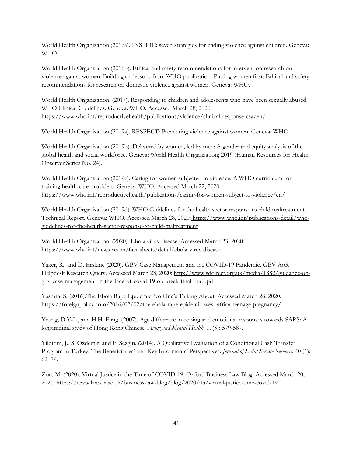World Health Organization (2016a). INSPIRE: seven strategies for ending violence against children. Geneva: WHO.

World Health Organization (2016b). Ethical and safety recommendations for intervention research on violence against women. Building on lessons from WHO publication: Putting women first: Ethical and safety recommendations for research on domestic violence against women. Geneva: WHO.

World Health Organization. (2017). Responding to children and adolescents who have been sexually abused. WHO Clinical Guidelines. Geneva: WHO. Accessed March 28, 2020: <https://www.who.int/reproductivehealth/publications/violence/clinical-response-csa/en/>

World Health Organization (2019a). RESPECT: Preventing violence against women. Geneva: WHO.

World Health Organization (2019b). Delivered by women, led by men: A gender and equity analysis of the global health and social workforce. Geneva: World Health Organization; 2019 (Human Resources for Health Observer Series No. 24).

World Health Organization (2019c). Caring for women subjected to violence: A WHO curriculum for training health-care providers. Geneva: WHO. Accessed March 22, 2020: <https://www.who.int/reproductivehealth/publications/caring-for-women-subject-to-violence/en/>

World Health Organization (2019d). WHO Guidelines for the health sector response to child maltreatment. Technical Report. Geneva: WHO. Accessed March 28, 2020: [https://www.who.int/publications-detail/who](https://www.who.int/publications-detail/who-guidelines-for-the-health-sector-response-to-child-maltreatment)[guidelines-for-the-health-sector-response-to-child-maltreatment](https://www.who.int/publications-detail/who-guidelines-for-the-health-sector-response-to-child-maltreatment)

World Health Organization. (2020). Ebola virus disease. Accessed March 23, 2020: <https://www.who.int/news-room/fact-sheets/detail/ebola-virus-disease>

Yaker, R., and D. Erskine (2020). GBV Case Management and the COVID-19 Pandemic. GBV AoR Helpdesk Research Query. Accessed March 23, 2020: [http://www.sddirect.org.uk/media/1882/guidance-on](http://www.sddirect.org.uk/media/1882/guidance-on-gbv-case-management-in-the-face-of-covid-19-outbreak-final-draft.pdf)[gbv-case-management-in-the-face-of-covid-19-outbreak-final-draft.pdf](http://www.sddirect.org.uk/media/1882/guidance-on-gbv-case-management-in-the-face-of-covid-19-outbreak-final-draft.pdf)

Yasmin, S. (2016).The Ebola Rape Epidemic No One's Talking About. Accessed March 28, 2020: [https://foreignpolicy.com/2016/02/02/the-ebola-rape-epidemic-west-africa-teenage-pregnancy/.](https://foreignpolicy.com/2016/02/02/the-ebola-rape-epidemic-west-africa-teenage-pregnancy/)

Yeung, D.Y-L., and H.H. Fung. (2007). Age difference in coping and emotional responses towards SARS: A longitudinal study of Hong Kong Chinese. *Aging and Mental Health*, 11(5): 579-587.

Yildirim, J., S. Ozdemir, and F. Sezgin. (2014). A Qualitative Evaluation of a Conditional Cash Transfer Program in Turkey: The Beneficiaries' and Key Informants' Perspectives. *Journal of Social Service Research* 40 (1): 62–79.

Zou, M. (2020). Virtual Justice in the Time of COVID-19. Oxford Business Law Blog. Accessed March 20, 2020:<https://www.law.ox.ac.uk/business-law-blog/blog/2020/03/virtual-justice-time-covid-19>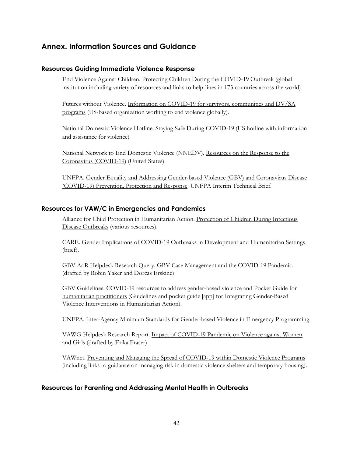## <span id="page-43-0"></span>**Annex. Information Sources and Guidance**

#### <span id="page-43-1"></span>**Resources Guiding Immediate Violence Response**

End Violence Against Children. [Protecting Children During the COVID-19 Outbreak](https://www.end-violence.org/protecting-children-during-covid-19-outbreak) (global institution including variety of resources and links to help-lines in 173 countries across the world).

Futures without Violence. [Information on COVID-19 for survivors, communities and DV/SA](https://www.futureswithoutviolence.org/get-updates-information-covid-19/)  [programs](https://www.futureswithoutviolence.org/get-updates-information-covid-19/) (US-based organization working to end violence globally).

National Domestic Violence Hotline[. Staying Safe During COVID-19](https://www.futureswithoutviolence.org/get-updates-information-covid-19/) (US hotline with information and assistance for violence)

National Network to End Domestic Violence (NNEDV). [Resources on the Response to the](https://nnedv.org/latest_update/resources-response-coronavirus-covid-19/)  [Coronavirus \(COVID-19\)](https://nnedv.org/latest_update/resources-response-coronavirus-covid-19/) (United States).

UNFPA. [Gender Equality and Addressing Gender-based Violence \(GBV\) and Coronavirus Disease](https://www.unfpa.org/resources/gender-equality-and-addressing-gender-based-violence-gbv-and-coronavirus-disease-covid-19)  [\(COVID-19\) Prevention, Protection and Response.](https://www.unfpa.org/resources/gender-equality-and-addressing-gender-based-violence-gbv-and-coronavirus-disease-covid-19) UNFPA Interim Technical Brief.

#### <span id="page-43-2"></span>**Resources for VAW/C in Emergencies and Pandemics**

Alliance for Child Protection in Humanitarian Action. [Protection of Children During Infectious](https://alliancecpha.org/en/series-of-child-protection-materials/protection-children-during-infectious-disease-outbreaks)  [Disease Outbreaks](https://alliancecpha.org/en/series-of-child-protection-materials/protection-children-during-infectious-disease-outbreaks) (various resources).

CARE. [Gender Implications of COVID-19 Outbreaks in Development and Humanitarian Settings](https://mcusercontent.com/716e51821045377fabd064202/files/8cc85566-d804-4812-a5df-7e509c86c50f/CARE_Gendered_Implications_of_COVID_19_Executive_Summary.pdf) (brief).

GBV AoR Helpdesk Research Query. [GBV Case Management and the COVID-19 Pandemic.](http://www.sddirect.org.uk/media/1882/guidance-on-gbv-case-management-in-the-face-of-covid-19-outbreak-final-draft.pdf) (drafted by Robin Yaker and Dorcas Erskine)

GBV Guidelines. [COVID-19 resources to address gender-based violence](https://gbvguidelines.org/en/knowledgehub/covid-19/) and [Pocket Guide for](https://gbvguidelines.org/en/pocketguide/)  [humanitarian practitioners](https://gbvguidelines.org/en/pocketguide/) (Guidelines and pocket guide [app] for Integrating Gender-Based Violence Interventions in Humanitarian Action).

UNFPA. [Inter-Agency Minimum Standards for Gender-based Violence in](https://www.unfpa.org/minimum-standards) Emergency Programming.

VAWG Helpdesk Research Report. [Impact of COVID-19 Pandemic on Violence against Women](https://www.svri.org/sites/default/files/vawg-helpdesk-284-covid-19-and-vawg.pdf)  [and Girls](https://www.svri.org/sites/default/files/vawg-helpdesk-284-covid-19-and-vawg.pdf) (drafted by Erika Fraser)

VAWnet. [Preventing and Managing the Spread of COVID-19 within Domestic Violence Programs](https://vawnet.org/news/preventing-managing-spread-covid-19-within-domestic-violence-programs) (including links to guidance on managing risk in domestic violence shelters and temporary housing).

#### <span id="page-43-3"></span>**Resources for Parenting and Addressing Mental Health in Outbreaks**